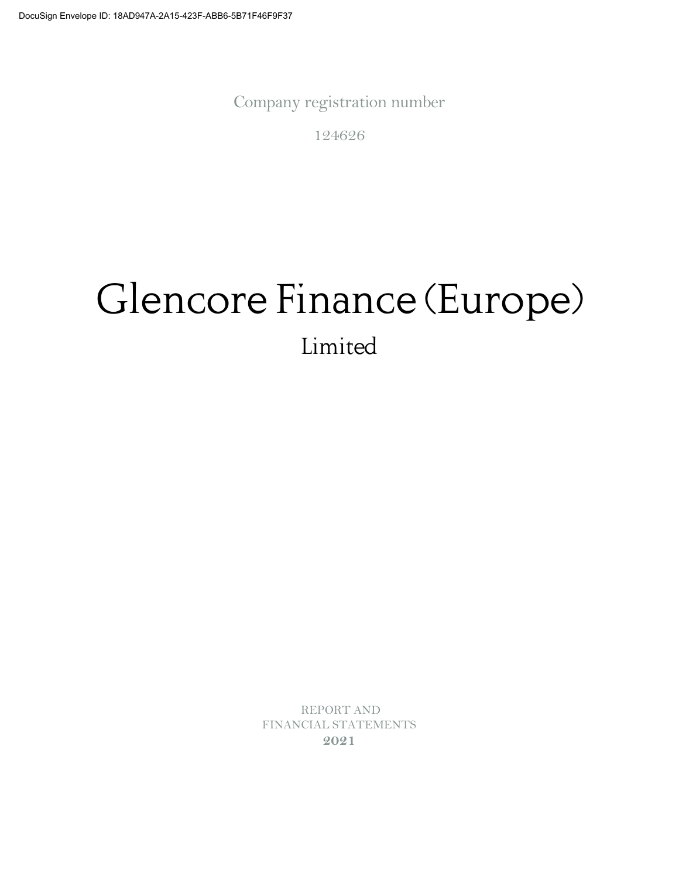Company registration number

124626

# Glencore Finance (Europe) Limited

 REPORT AND FINANCIAL STATEMENTS **2021**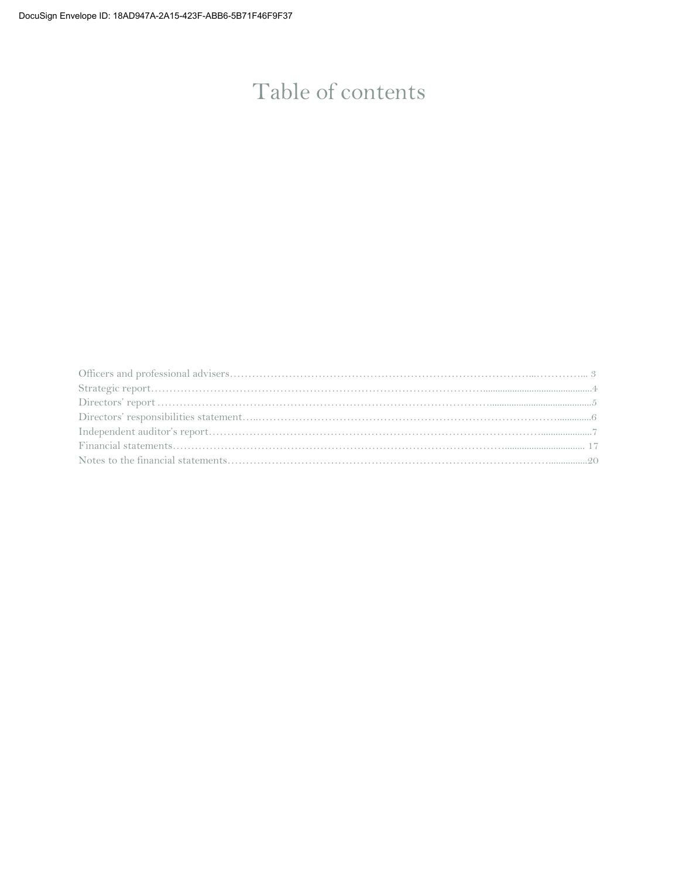## Table of contents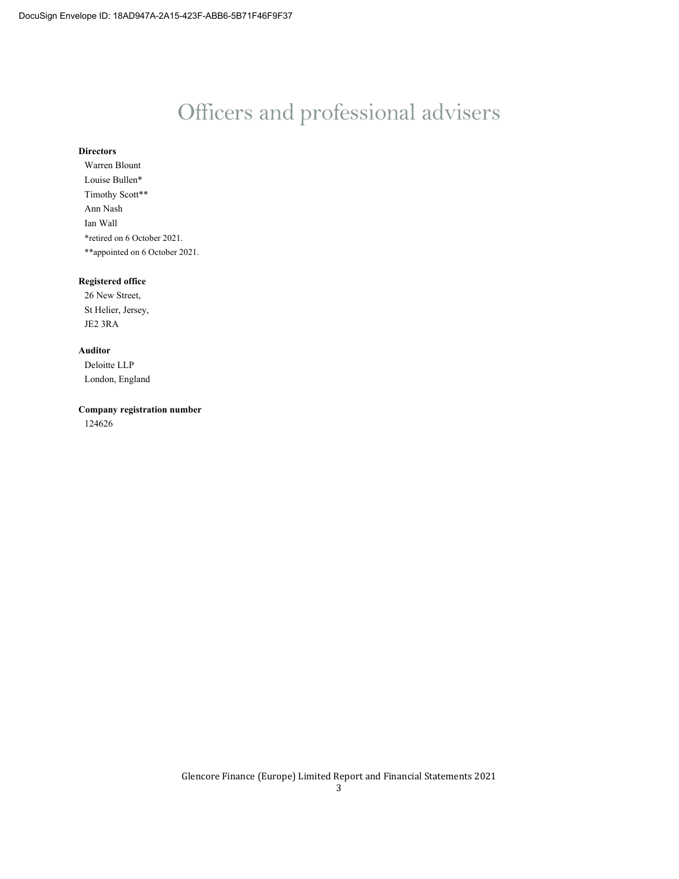## Officers and professional advisers

#### **Directors**

Warren Blount Louise Bullen\* Timothy Scott\*\* Ann Nash Ian Wall \*retired on 6 October 2021. \*\*appointed on 6 October 2021.

## **Registered office**

26 New Street, St Helier, Jersey, JE2 3RA

## **Auditor**

Deloitte LLP London, England

### **Company registration number**

124626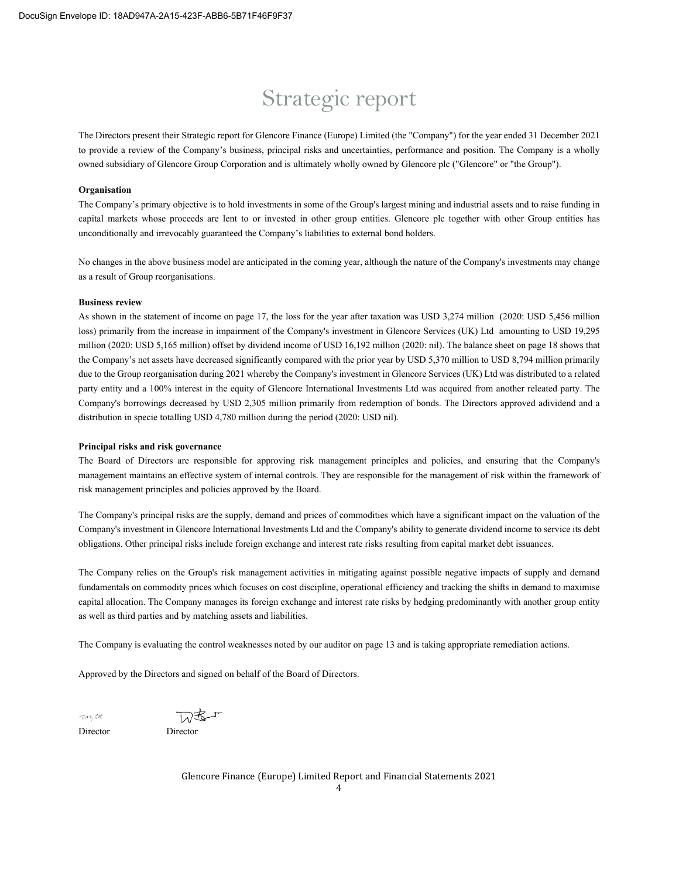## Strategic report

The Directors present their Strategic report for Glencore Finance (Europe) Limited (the "Company") for the year ended 31 December 2021 to provide a review of the Company's business, principal risks and uncertainties, performance and position. The Company is a wholly owned subsidiary of Glencore Group Corporation and is ultimately wholly owned by Glencore plc ("Glencore" or "the Group").

#### **Organisation**

The Company's primary objective is to hold investments in some of the Group's largest mining and industrial assets and to raise funding in capital markets whose proceeds are lent to or invested in other group entities. Glencore plc together with other Group entities has unconditionally and irrevocably guaranteed the Company's liabilities to external bond holders.

No changes in the above business model are anticipated in the coming year, although the nature of the Company's investments may change as a result of Group reorganisations.

#### **Business review**

As shown in the statement of income on page 17, the loss for the year after taxation was USD 3,274 million (2020: USD 5,456 million loss) primarily from the increase in impairment of the Company's investment in Glencore Services (UK) Ltd amounting to USD 19,295 million (2020: USD 5,165 million) offset by dividend income of USD 16,192 million (2020: nil). The balance sheet on page 18 shows that the Company's net assets have decreased significantly compared with the prior year by USD 5,370 million to USD 8,794 million primarily due to the Group reorganisation during 2021 whereby the Company's investment in Glencore Services (UK) Ltd was distributed to a related party entity and a 100% interest in the equity of Glencore International Investments Ltd was acquired from another releated party. The Company's borrowings decreased by USD 2,305 million primarily from redemption of bonds. The Directors approved adividend and a distribution in specie totalling USD 4,780 million during the period (2020: USD nil).

#### **Principal risks and risk governance**

The Board of Directors are responsible for approving risk management principles and policies, and ensuring that the Company's management maintains an effective system of internal controls. They are responsible for the management of risk within the framework of risk management principles and policies approved by the Board.

The Company's principal risks are the supply, demand and prices of commodities which have a significant impact on the valuation of the Company's investment in Glencore International Investments Ltd and the Company's ability to generate dividend income to service its debt obligations. Other principal risks include foreign exchange and interest rate risks resulting from capital market debt issuances.

The Company relies on the Group's risk management activities in mitigating against possible negative impacts of supply and demand fundamentals on commodity prices which focuses on cost discipline, operational efficiency and tracking the shifts in demand to maximise capital allocation. The Company manages its foreign exchange and interest rate risks by hedging predominantly with another group entity as well as third parties and by matching assets and liabilities.

The Company is evaluating the control weaknesses noted by our auditor on page 13 and is taking appropriate remediation actions.

Approved by the Directors and signed on behalf of the Board of Directors.

Toty St Director Director

 $\nabla\mathfrak{F}$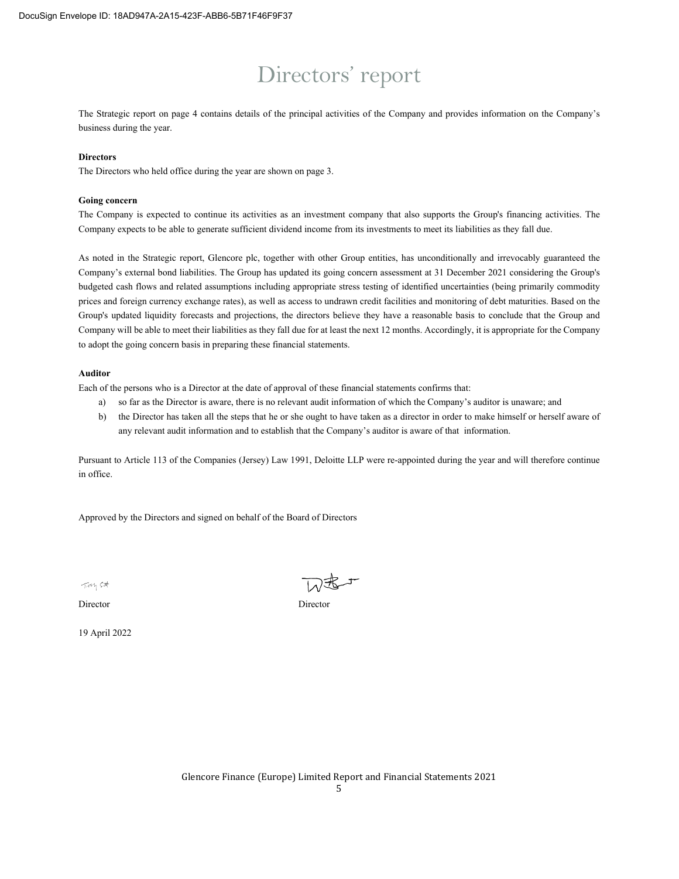## Directors' report

The Strategic report on page 4 contains details of the principal activities of the Company and provides information on the Company's business during the year.

#### **Directors**

The Directors who held office during the year are shown on page 3.

#### **Going concern**

The Company is expected to continue its activities as an investment company that also supports the Group's financing activities. The Company expects to be able to generate sufficient dividend income from its investments to meet its liabilities as they fall due.

As noted in the Strategic report, Glencore plc, together with other Group entities, has unconditionally and irrevocably guaranteed the Company's external bond liabilities. The Group has updated its going concern assessment at 31 December 2021 considering the Group's budgeted cash flows and related assumptions including appropriate stress testing of identified uncertainties (being primarily commodity prices and foreign currency exchange rates), as well as access to undrawn credit facilities and monitoring of debt maturities. Based on the Group's updated liquidity forecasts and projections, the directors believe they have a reasonable basis to conclude that the Group and Company will be able to meet their liabilities as they fall due for at least the next 12 months. Accordingly, it is appropriate for the Company to adopt the going concern basis in preparing these financial statements.

#### **Auditor**

Each of the persons who is a Director at the date of approval of these financial statements confirms that:

- a) so far as the Director is aware, there is no relevant audit information of which the Company's auditor is unaware; and
- b) the Director has taken all the steps that he or she ought to have taken as a director in order to make himself or herself aware of any relevant audit information and to establish that the Company's auditor is aware of that information.

Pursuant to Article 113 of the Companies (Jersey) Law 1991, Deloitte LLP were re-appointed during the year and will therefore continue in office.

Approved by the Directors and signed on behalf of the Board of Directors

 $T_{x}$ 

√老十

Director Director **Director** 

19 April 2022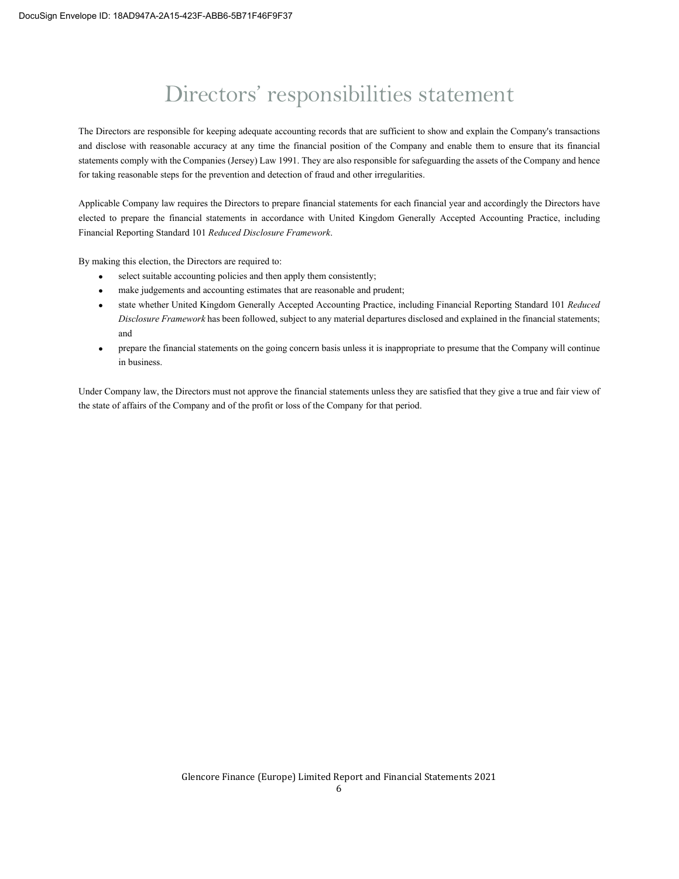## Directors' responsibilities statement

The Directors are responsible for keeping adequate accounting records that are sufficient to show and explain the Company's transactions and disclose with reasonable accuracy at any time the financial position of the Company and enable them to ensure that its financial statements comply with the Companies (Jersey) Law 1991. They are also responsible for safeguarding the assets of the Company and hence for taking reasonable steps for the prevention and detection of fraud and other irregularities.

Applicable Company law requires the Directors to prepare financial statements for each financial year and accordingly the Directors have elected to prepare the financial statements in accordance with United Kingdom Generally Accepted Accounting Practice, including Financial Reporting Standard 101 *Reduced Disclosure Framework*.

By making this election, the Directors are required to:

- select suitable accounting policies and then apply them consistently;
- make judgements and accounting estimates that are reasonable and prudent;
- state whether United Kingdom Generally Accepted Accounting Practice, including Financial Reporting Standard 101 *Reduced Disclosure Framework* has been followed, subject to any material departures disclosed and explained in the financial statements; and
- prepare the financial statements on the going concern basis unless it is inappropriate to presume that the Company will continue in business.

Under Company law, the Directors must not approve the financial statements unless they are satisfied that they give a true and fair view of the state of affairs of the Company and of the profit or loss of the Company for that period.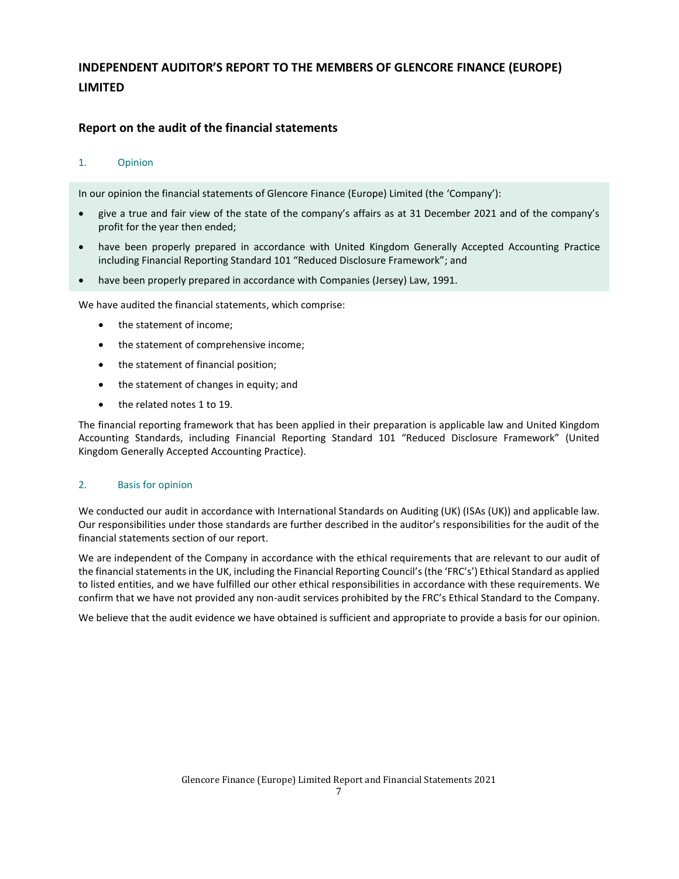## **INDEPENDENT AUDITOR'S REPORT TO THE MEMBERS OF GLENCORE FINANCE (EUROPE) LIMITED**

## **Report on the audit of the financial statements**

## 1. Opinion

In our opinion the financial statements of Glencore Finance (Europe) Limited (the 'Company'):

- give a true and fair view of the state of the company's affairs as at 31 December 2021 and of the company's profit for the year then ended;
- have been properly prepared in accordance with United Kingdom Generally Accepted Accounting Practice including Financial Reporting Standard 101 "Reduced Disclosure Framework"; and
- have been properly prepared in accordance with Companies (Jersey) Law, 1991.

We have audited the financial statements, which comprise:

- the statement of income;
- the statement of comprehensive income;
- the statement of financial position;
- the statement of changes in equity; and
- the related notes 1 to 19.

The financial reporting framework that has been applied in their preparation is applicable law and United Kingdom Accounting Standards, including Financial Reporting Standard 101 "Reduced Disclosure Framework" (United Kingdom Generally Accepted Accounting Practice).

## 2. Basis for opinion

We conducted our audit in accordance with International Standards on Auditing (UK) (ISAs (UK)) and applicable law. Our responsibilities under those standards are further described in the auditor's responsibilities for the audit of the financial statements section of our report.

We are independent of the Company in accordance with the ethical requirements that are relevant to our audit of the financial statements in the UK, including the Financial Reporting Council's (the 'FRC's') Ethical Standard as applied to listed entities, and we have fulfilled our other ethical responsibilities in accordance with these requirements. We confirm that we have not provided any non-audit services prohibited by the FRC's Ethical Standard to the Company.

We believe that the audit evidence we have obtained is sufficient and appropriate to provide a basis for our opinion.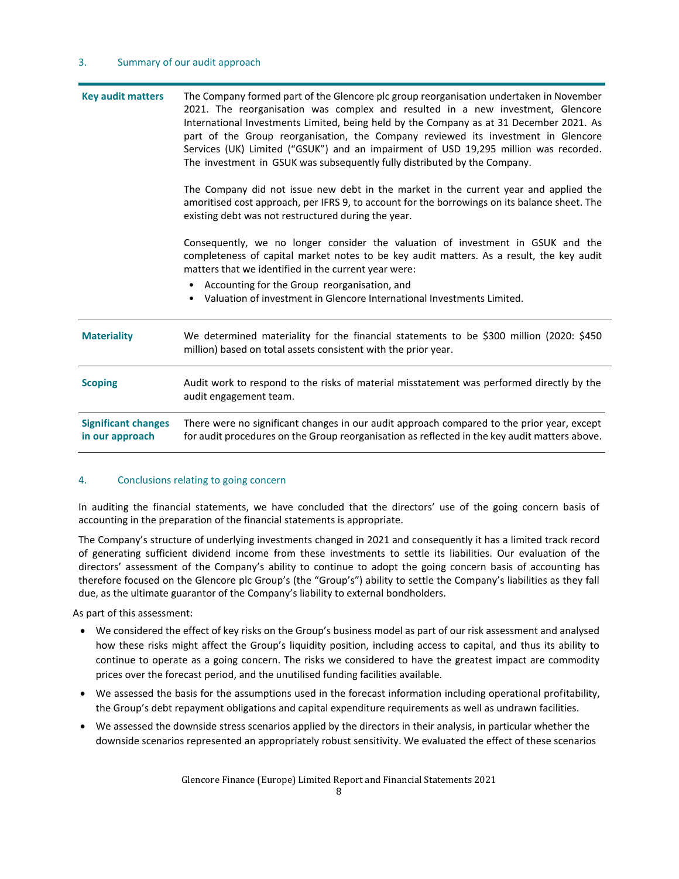## 3. Summary of our audit approach

| <b>Key audit matters</b>                      | The Company formed part of the Glencore plc group reorganisation undertaken in November<br>2021. The reorganisation was complex and resulted in a new investment, Glencore<br>International Investments Limited, being held by the Company as at 31 December 2021. As<br>part of the Group reorganisation, the Company reviewed its investment in Glencore<br>Services (UK) Limited ("GSUK") and an impairment of USD 19,295 million was recorded.<br>The investment in GSUK was subsequently fully distributed by the Company. |
|-----------------------------------------------|---------------------------------------------------------------------------------------------------------------------------------------------------------------------------------------------------------------------------------------------------------------------------------------------------------------------------------------------------------------------------------------------------------------------------------------------------------------------------------------------------------------------------------|
|                                               | The Company did not issue new debt in the market in the current year and applied the<br>amoritised cost approach, per IFRS 9, to account for the borrowings on its balance sheet. The<br>existing debt was not restructured during the year.                                                                                                                                                                                                                                                                                    |
|                                               | Consequently, we no longer consider the valuation of investment in GSUK and the<br>completeness of capital market notes to be key audit matters. As a result, the key audit<br>matters that we identified in the current year were:<br>Accounting for the Group reorganisation, and<br>Valuation of investment in Glencore International Investments Limited.                                                                                                                                                                   |
| <b>Materiality</b>                            | We determined materiality for the financial statements to be \$300 million (2020: \$450<br>million) based on total assets consistent with the prior year.                                                                                                                                                                                                                                                                                                                                                                       |
| <b>Scoping</b>                                | Audit work to respond to the risks of material misstatement was performed directly by the<br>audit engagement team.                                                                                                                                                                                                                                                                                                                                                                                                             |
| <b>Significant changes</b><br>in our approach | There were no significant changes in our audit approach compared to the prior year, except<br>for audit procedures on the Group reorganisation as reflected in the key audit matters above.                                                                                                                                                                                                                                                                                                                                     |

## 4. Conclusions relating to going concern

In auditing the financial statements, we have concluded that the directors' use of the going concern basis of accounting in the preparation of the financial statements is appropriate.

The Company's structure of underlying investments changed in 2021 and consequently it has a limited track record of generating sufficient dividend income from these investments to settle its liabilities. Our evaluation of the directors' assessment of the Company's ability to continue to adopt the going concern basis of accounting has therefore focused on the Glencore plc Group's (the "Group's") ability to settle the Company's liabilities as they fall due, as the ultimate guarantor of the Company's liability to external bondholders.

As part of this assessment:

- We considered the effect of key risks on the Group's business model as part of our risk assessment and analysed how these risks might affect the Group's liquidity position, including access to capital, and thus its ability to continue to operate as a going concern. The risks we considered to have the greatest impact are commodity prices over the forecast period, and the unutilised funding facilities available.
- We assessed the basis for the assumptions used in the forecast information including operational profitability, the Group's debt repayment obligations and capital expenditure requirements as well as undrawn facilities.
- We assessed the downside stress scenarios applied by the directors in their analysis, in particular whether the downside scenarios represented an appropriately robust sensitivity. We evaluated the effect of these scenarios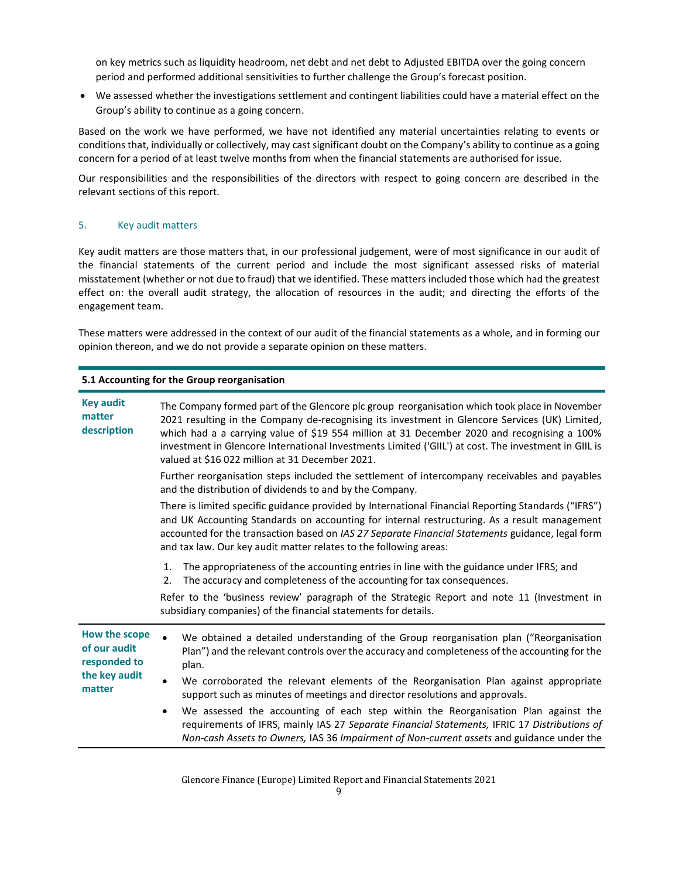on key metrics such as liquidity headroom, net debt and net debt to Adjusted EBITDA over the going concern period and performed additional sensitivities to further challenge the Group's forecast position.

• We assessed whether the investigations settlement and contingent liabilities could have a material effect on the Group's ability to continue as a going concern.

Based on the work we have performed, we have not identified any material uncertainties relating to events or conditions that, individually or collectively, may cast significant doubt on the Company's ability to continue as a going concern for a period of at least twelve months from when the financial statements are authorised for issue.

Our responsibilities and the responsibilities of the directors with respect to going concern are described in the relevant sections of this report.

## 5. Key audit matters

Key audit matters are those matters that, in our professional judgement, were of most significance in our audit of the financial statements of the current period and include the most significant assessed risks of material misstatement (whether or not due to fraud) that we identified. These matters included those which had the greatest effect on: the overall audit strategy, the allocation of resources in the audit; and directing the efforts of the engagement team.

These matters were addressed in the context of our audit of the financial statements as a whole, and in forming our opinion thereon, and we do not provide a separate opinion on these matters.

|                                                                          | 5.1 Accounting for the Group reorganisation                                                                                                                                                                                                                                                                                                                                                                                                               |  |  |  |  |
|--------------------------------------------------------------------------|-----------------------------------------------------------------------------------------------------------------------------------------------------------------------------------------------------------------------------------------------------------------------------------------------------------------------------------------------------------------------------------------------------------------------------------------------------------|--|--|--|--|
| <b>Key audit</b><br>matter<br>description                                | The Company formed part of the Glencore plc group reorganisation which took place in November<br>2021 resulting in the Company de-recognising its investment in Glencore Services (UK) Limited,<br>which had a a carrying value of \$19 554 million at 31 December 2020 and recognising a 100%<br>investment in Glencore International Investments Limited ('GIIL') at cost. The investment in GIIL is<br>valued at \$16 022 million at 31 December 2021. |  |  |  |  |
|                                                                          | Further reorganisation steps included the settlement of intercompany receivables and payables<br>and the distribution of dividends to and by the Company.                                                                                                                                                                                                                                                                                                 |  |  |  |  |
|                                                                          | There is limited specific guidance provided by International Financial Reporting Standards ("IFRS")<br>and UK Accounting Standards on accounting for internal restructuring. As a result management<br>accounted for the transaction based on IAS 27 Separate Financial Statements guidance, legal form<br>and tax law. Our key audit matter relates to the following areas:                                                                              |  |  |  |  |
|                                                                          | The appropriateness of the accounting entries in line with the guidance under IFRS; and<br>1.<br>The accuracy and completeness of the accounting for tax consequences.<br>2.<br>Refer to the 'business review' paragraph of the Strategic Report and note 11 (Investment in                                                                                                                                                                               |  |  |  |  |
|                                                                          | subsidiary companies) of the financial statements for details.                                                                                                                                                                                                                                                                                                                                                                                            |  |  |  |  |
| How the scope<br>of our audit<br>responded to<br>the key audit<br>matter | We obtained a detailed understanding of the Group reorganisation plan ("Reorganisation<br>Plan") and the relevant controls over the accuracy and completeness of the accounting for the<br>plan.                                                                                                                                                                                                                                                          |  |  |  |  |
|                                                                          | We corroborated the relevant elements of the Reorganisation Plan against appropriate<br>$\bullet$<br>support such as minutes of meetings and director resolutions and approvals.                                                                                                                                                                                                                                                                          |  |  |  |  |
|                                                                          | We assessed the accounting of each step within the Reorganisation Plan against the<br>$\bullet$<br>requirements of IFRS, mainly IAS 27 Separate Financial Statements, IFRIC 17 Distributions of<br>Non-cash Assets to Owners, IAS 36 Impairment of Non-current assets and guidance under the                                                                                                                                                              |  |  |  |  |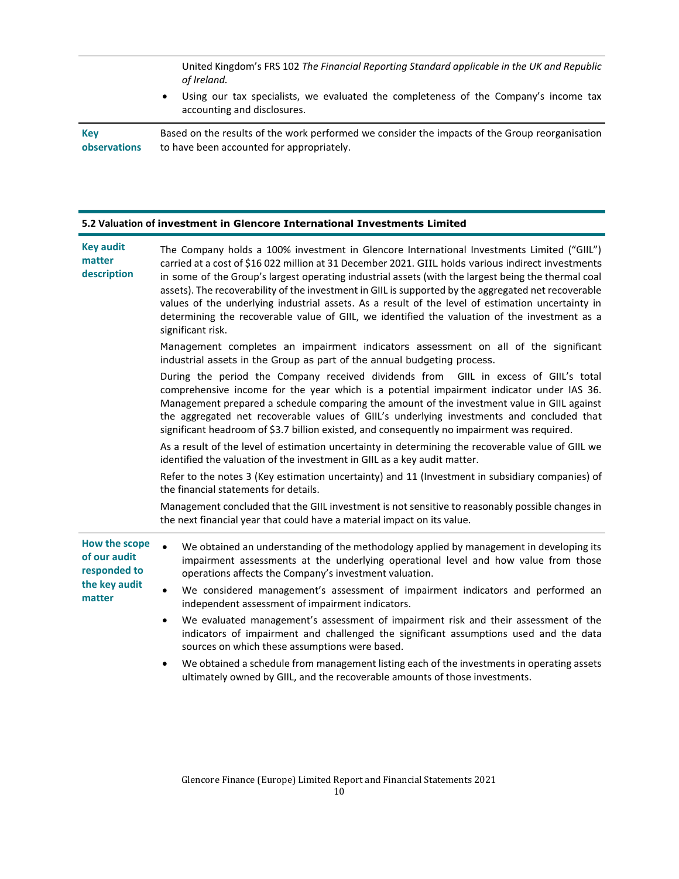United Kingdom's FRS 102 *The Financial Reporting Standard applicable in the UK and Republic of Ireland.*

• Using our tax specialists, we evaluated the completeness of the Company's income tax accounting and disclosures.

**Key observations** Based on the results of the work performed we consider the impacts of the Group reorganisation to have been accounted for appropriately.

## **5.2 Valuation of investment in Glencore International Investments Limited**

| <b>Key audit</b><br>matter<br>description            | The Company holds a 100% investment in Glencore International Investments Limited ("GIIL")<br>carried at a cost of \$16 022 million at 31 December 2021. GIIL holds various indirect investments<br>in some of the Group's largest operating industrial assets (with the largest being the thermal coal<br>assets). The recoverability of the investment in GIIL is supported by the aggregated net recoverable<br>values of the underlying industrial assets. As a result of the level of estimation uncertainty in<br>determining the recoverable value of GIIL, we identified the valuation of the investment as a<br>significant risk. |  |  |  |  |  |  |
|------------------------------------------------------|--------------------------------------------------------------------------------------------------------------------------------------------------------------------------------------------------------------------------------------------------------------------------------------------------------------------------------------------------------------------------------------------------------------------------------------------------------------------------------------------------------------------------------------------------------------------------------------------------------------------------------------------|--|--|--|--|--|--|
|                                                      | Management completes an impairment indicators assessment on all of the significant<br>industrial assets in the Group as part of the annual budgeting process.                                                                                                                                                                                                                                                                                                                                                                                                                                                                              |  |  |  |  |  |  |
|                                                      | During the period the Company received dividends from GIIL in excess of GIIL's total<br>comprehensive income for the year which is a potential impairment indicator under IAS 36.<br>Management prepared a schedule comparing the amount of the investment value in GIIL against<br>the aggregated net recoverable values of GIIL's underlying investments and concluded that<br>significant headroom of \$3.7 billion existed, and consequently no impairment was required.                                                                                                                                                               |  |  |  |  |  |  |
|                                                      | As a result of the level of estimation uncertainty in determining the recoverable value of GIIL we<br>identified the valuation of the investment in GIIL as a key audit matter.                                                                                                                                                                                                                                                                                                                                                                                                                                                            |  |  |  |  |  |  |
|                                                      | Refer to the notes 3 (Key estimation uncertainty) and 11 (Investment in subsidiary companies) of<br>the financial statements for details.                                                                                                                                                                                                                                                                                                                                                                                                                                                                                                  |  |  |  |  |  |  |
|                                                      | Management concluded that the GIIL investment is not sensitive to reasonably possible changes in<br>the next financial year that could have a material impact on its value.                                                                                                                                                                                                                                                                                                                                                                                                                                                                |  |  |  |  |  |  |
| <b>How the scope</b><br>of our audit<br>responded to | We obtained an understanding of the methodology applied by management in developing its<br>$\bullet$<br>impairment assessments at the underlying operational level and how value from those<br>operations affects the Company's investment valuation.                                                                                                                                                                                                                                                                                                                                                                                      |  |  |  |  |  |  |
| the key audit<br>matter                              | We considered management's assessment of impairment indicators and performed an<br>$\bullet$<br>independent assessment of impairment indicators.                                                                                                                                                                                                                                                                                                                                                                                                                                                                                           |  |  |  |  |  |  |
|                                                      | We evaluated management's assessment of impairment risk and their assessment of the<br>$\bullet$<br>indicators of impairment and challenged the significant assumptions used and the data<br>sources on which these assumptions were based.                                                                                                                                                                                                                                                                                                                                                                                                |  |  |  |  |  |  |
|                                                      | We obtained a schedule from management listing each of the investments in operating assets<br>$\bullet$<br>ultimately owned by GIIL, and the recoverable amounts of those investments.                                                                                                                                                                                                                                                                                                                                                                                                                                                     |  |  |  |  |  |  |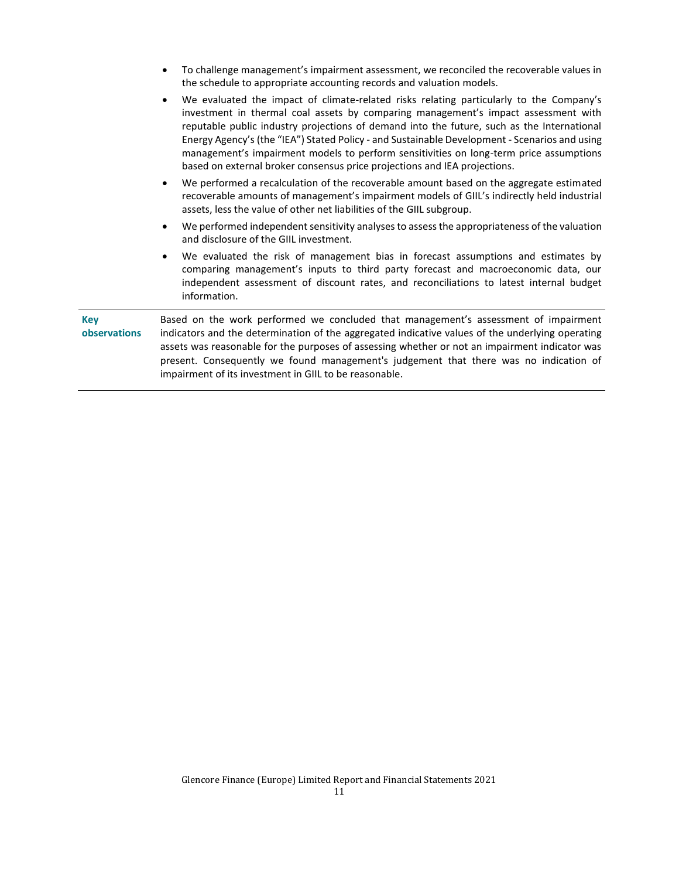• To challenge management's impairment assessment, we reconciled the recoverable values in the schedule to appropriate accounting records and valuation models.

| We evaluated the impact of climate-related risks relating particularly to the Company's       |
|-----------------------------------------------------------------------------------------------|
| investment in thermal coal assets by comparing management's impact assessment with            |
| reputable public industry projections of demand into the future, such as the International    |
| Energy Agency's (the "IEA") Stated Policy - and Sustainable Development - Scenarios and using |
| management's impairment models to perform sensitivities on long-term price assumptions        |
| based on external broker consensus price projections and IEA projections.                     |

- We performed a recalculation of the recoverable amount based on the aggregate estimated recoverable amounts of management's impairment models of GIIL's indirectly held industrial assets, less the value of other net liabilities of the GIIL subgroup.
- We performed independent sensitivity analyses to assess the appropriateness of the valuation and disclosure of the GIIL investment.
- We evaluated the risk of management bias in forecast assumptions and estimates by comparing management's inputs to third party forecast and macroeconomic data, our independent assessment of discount rates, and reconciliations to latest internal budget information.

**Key observations** Based on the work performed we concluded that management's assessment of impairment indicators and the determination of the aggregated indicative values of the underlying operating assets was reasonable for the purposes of assessing whether or not an impairment indicator was present. Consequently we found management's judgement that there was no indication of impairment of its investment in GIIL to be reasonable.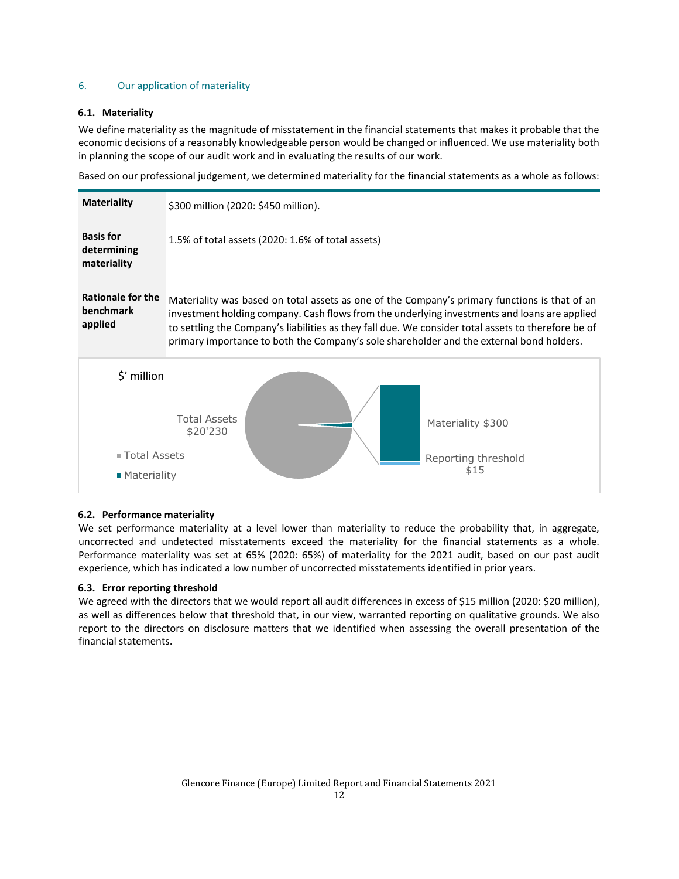## 6. Our application of materiality

## **6.1. Materiality**

We define materiality as the magnitude of misstatement in the financial statements that makes it probable that the economic decisions of a reasonably knowledgeable person would be changed or influenced. We use materiality both in planning the scope of our audit work and in evaluating the results of our work.

Based on our professional judgement, we determined materiality for the financial statements as a whole as follows:

| <b>Materiality</b>                               | \$300 million (2020: \$450 million).                                                                                                                                                                                                                                                                                                                                                             |
|--------------------------------------------------|--------------------------------------------------------------------------------------------------------------------------------------------------------------------------------------------------------------------------------------------------------------------------------------------------------------------------------------------------------------------------------------------------|
| <b>Basis for</b><br>determining<br>materiality   | 1.5% of total assets (2020: 1.6% of total assets)                                                                                                                                                                                                                                                                                                                                                |
| Rationale for the<br><b>benchmark</b><br>applied | Materiality was based on total assets as one of the Company's primary functions is that of an<br>investment holding company. Cash flows from the underlying investments and loans are applied<br>to settling the Company's liabilities as they fall due. We consider total assets to therefore be of<br>primary importance to both the Company's sole shareholder and the external bond holders. |
| \$' million<br>■ Total Assets<br>■ Materiality   | <b>Total Assets</b><br>Materiality \$300<br>\$20'230<br>Reporting threshold<br>\$15                                                                                                                                                                                                                                                                                                              |

## **6.2. Performance materiality**

We set performance materiality at a level lower than materiality to reduce the probability that, in aggregate, uncorrected and undetected misstatements exceed the materiality for the financial statements as a whole. Performance materiality was set at 65% (2020: 65%) of materiality for the 2021 audit, based on our past audit experience, which has indicated a low number of uncorrected misstatements identified in prior years.

## **6.3. Error reporting threshold**

We agreed with the directors that we would report all audit differences in excess of \$15 million (2020: \$20 million), as well as differences below that threshold that, in our view, warranted reporting on qualitative grounds. We also report to the directors on disclosure matters that we identified when assessing the overall presentation of the financial statements.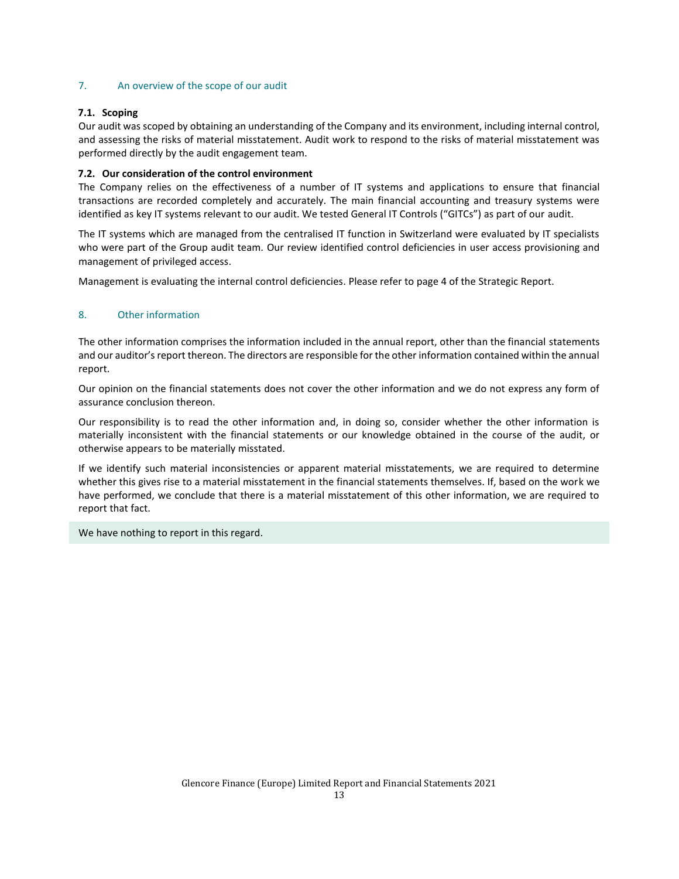## 7. An overview of the scope of our audit

## **7.1. Scoping**

Our audit was scoped by obtaining an understanding of the Company and its environment, including internal control, and assessing the risks of material misstatement. Audit work to respond to the risks of material misstatement was performed directly by the audit engagement team.

## **7.2. Our consideration of the control environment**

The Company relies on the effectiveness of a number of IT systems and applications to ensure that financial transactions are recorded completely and accurately. The main financial accounting and treasury systems were identified as key IT systems relevant to our audit. We tested General IT Controls ("GITCs") as part of our audit.

The IT systems which are managed from the centralised IT function in Switzerland were evaluated by IT specialists who were part of the Group audit team. Our review identified control deficiencies in user access provisioning and management of privileged access.

Management is evaluating the internal control deficiencies. Please refer to page 4 of the Strategic Report.

## 8. Other information

The other information comprises the information included in the annual report, other than the financial statements and our auditor's report thereon. The directors are responsible for the other information contained within the annual report.

Our opinion on the financial statements does not cover the other information and we do not express any form of assurance conclusion thereon.

Our responsibility is to read the other information and, in doing so, consider whether the other information is materially inconsistent with the financial statements or our knowledge obtained in the course of the audit, or otherwise appears to be materially misstated.

If we identify such material inconsistencies or apparent material misstatements, we are required to determine whether this gives rise to a material misstatement in the financial statements themselves. If, based on the work we have performed, we conclude that there is a material misstatement of this other information, we are required to report that fact.

We have nothing to report in this regard.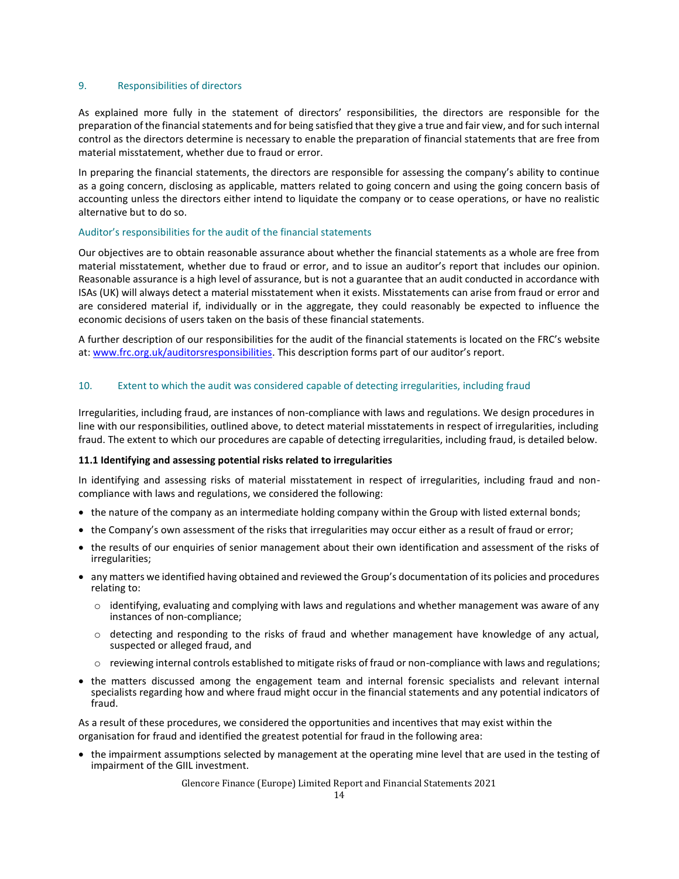### 9. Responsibilities of directors

As explained more fully in the statement of directors' responsibilities, the directors are responsible for the preparation of the financial statements and for being satisfied that they give a true and fair view, and for such internal control as the directors determine is necessary to enable the preparation of financial statements that are free from material misstatement, whether due to fraud or error.

In preparing the financial statements, the directors are responsible for assessing the company's ability to continue as a going concern, disclosing as applicable, matters related to going concern and using the going concern basis of accounting unless the directors either intend to liquidate the company or to cease operations, or have no realistic alternative but to do so.

## Auditor's responsibilities for the audit of the financial statements

Our objectives are to obtain reasonable assurance about whether the financial statements as a whole are free from material misstatement, whether due to fraud or error, and to issue an auditor's report that includes our opinion. Reasonable assurance is a high level of assurance, but is not a guarantee that an audit conducted in accordance with ISAs (UK) will always detect a material misstatement when it exists. Misstatements can arise from fraud or error and are considered material if, individually or in the aggregate, they could reasonably be expected to influence the economic decisions of users taken on the basis of these financial statements.

A further description of our responsibilities for the audit of the financial statements is located on the FRC's website at: [www.frc.org.uk/auditorsresponsibilities](http://www.frc.org.uk/auditorsresponsibilities). This description forms part of our auditor's report.

#### 10. Extent to which the audit was considered capable of detecting irregularities, including fraud

Irregularities, including fraud, are instances of non-compliance with laws and regulations. We design procedures in line with our responsibilities, outlined above, to detect material misstatements in respect of irregularities, including fraud. The extent to which our procedures are capable of detecting irregularities, including fraud, is detailed below.

#### **11.1 Identifying and assessing potential risks related to irregularities**

In identifying and assessing risks of material misstatement in respect of irregularities, including fraud and noncompliance with laws and regulations, we considered the following:

- the nature of the company as an intermediate holding company within the Group with listed external bonds;
- the Company's own assessment of the risks that irregularities may occur either as a result of fraud or error;
- the results of our enquiries of senior management about their own identification and assessment of the risks of irregularities;
- any matters we identified having obtained and reviewed the Group's documentation of its policies and procedures relating to:
	- $\circ$  identifying, evaluating and complying with laws and regulations and whether management was aware of any instances of non-compliance;
	- o detecting and responding to the risks of fraud and whether management have knowledge of any actual, suspected or alleged fraud, and
	- o reviewing internal controls established to mitigate risks of fraud or non-compliance with laws and regulations;
- the matters discussed among the engagement team and internal forensic specialists and relevant internal specialists regarding how and where fraud might occur in the financial statements and any potential indicators of fraud.

As a result of these procedures, we considered the opportunities and incentives that may exist within the organisation for fraud and identified the greatest potential for fraud in the following area:

• the impairment assumptions selected by management at the operating mine level that are used in the testing of impairment of the GIIL investment.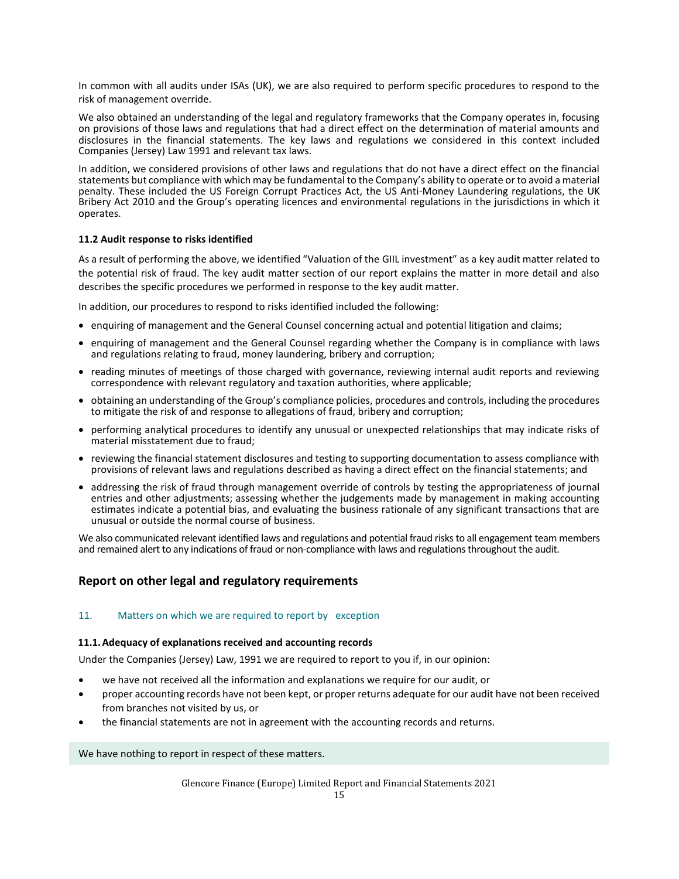In common with all audits under ISAs (UK), we are also required to perform specific procedures to respond to the risk of management override.

We also obtained an understanding of the legal and regulatory frameworks that the Company operates in, focusing on provisions of those laws and regulations that had a direct effect on the determination of material amounts and disclosures in the financial statements. The key laws and regulations we considered in this context included Companies (Jersey) Law 1991 and relevant tax laws.

In addition, we considered provisions of other laws and regulations that do not have a direct effect on the financial statements but compliance with which may be fundamental to the Company's ability to operate or to avoid a material penalty. These included the US Foreign Corrupt Practices Act, the US Anti-Money Laundering regulations, the UK Bribery Act 2010 and the Group's operating licences and environmental regulations in the jurisdictions in which it operates.

## **11.2 Audit response to risks identified**

As a result of performing the above, we identified "Valuation of the GIIL investment" as a key audit matter related to the potential risk of fraud. The key audit matter section of our report explains the matter in more detail and also describes the specific procedures we performed in response to the key audit matter.

In addition, our procedures to respond to risks identified included the following:

- enquiring of management and the General Counsel concerning actual and potential litigation and claims;
- enquiring of management and the General Counsel regarding whether the Company is in compliance with laws and regulations relating to fraud, money laundering, bribery and corruption;
- reading minutes of meetings of those charged with governance, reviewing internal audit reports and reviewing correspondence with relevant regulatory and taxation authorities, where applicable;
- obtaining an understanding of the Group's compliance policies, procedures and controls, including the procedures to mitigate the risk of and response to allegations of fraud, bribery and corruption;
- performing analytical procedures to identify any unusual or unexpected relationships that may indicate risks of material misstatement due to fraud;
- reviewing the financial statement disclosures and testing to supporting documentation to assess compliance with provisions of relevant laws and regulations described as having a direct effect on the financial statements; and
- addressing the risk of fraud through management override of controls by testing the appropriateness of journal entries and other adjustments; assessing whether the judgements made by management in making accounting estimates indicate a potential bias, and evaluating the business rationale of any significant transactions that are unusual or outside the normal course of business.

We also communicated relevant identified laws and regulations and potential fraud risks to all engagement team members and remained alert to any indications of fraud or non-compliance with laws and regulations throughout the audit.

## **Report on other legal and regulatory requirements**

## 11. Matters on which we are required to report by exception

#### **11.1.Adequacy of explanations received and accounting records**

Under the Companies (Jersey) Law, 1991 we are required to report to you if, in our opinion:

- we have not received all the information and explanations we require for our audit, or
- proper accounting records have not been kept, or proper returns adequate for our audit have not been received from branches not visited by us, or
- the financial statements are not in agreement with the accounting records and returns.

We have nothing to report in respect of these matters.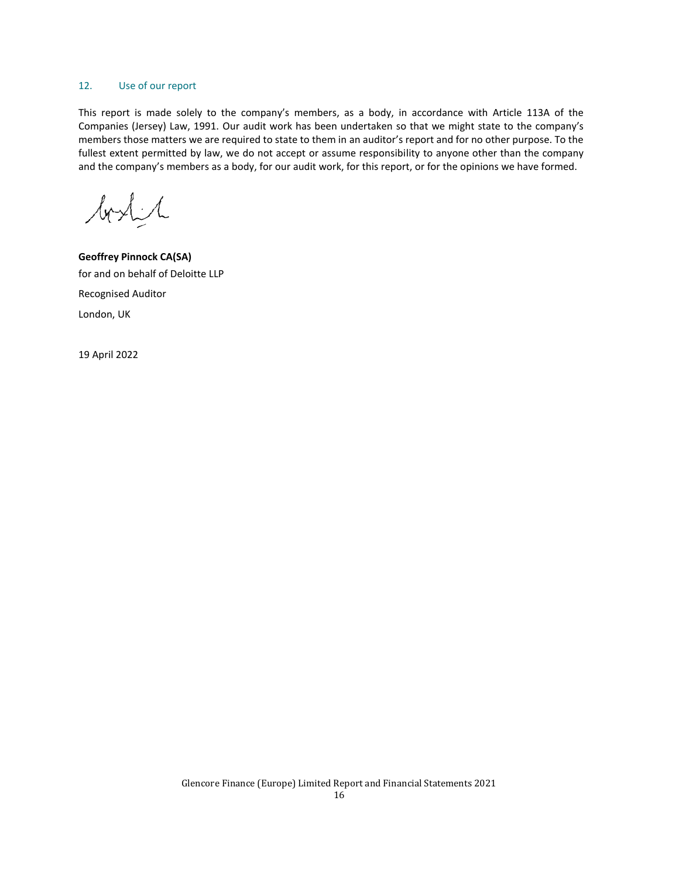## 12. Use of our report

This report is made solely to the company's members, as a body, in accordance with Article 113A of the Companies (Jersey) Law, 1991. Our audit work has been undertaken so that we might state to the company's members those matters we are required to state to them in an auditor's report and for no other purpose. To the fullest extent permitted by law, we do not accept or assume responsibility to anyone other than the company and the company's members as a body, for our audit work, for this report, or for the opinions we have formed.

boxfil

**Geoffrey Pinnock CA(SA)** for and on behalf of Deloitte LLP Recognised Auditor London, UK

19 April 2022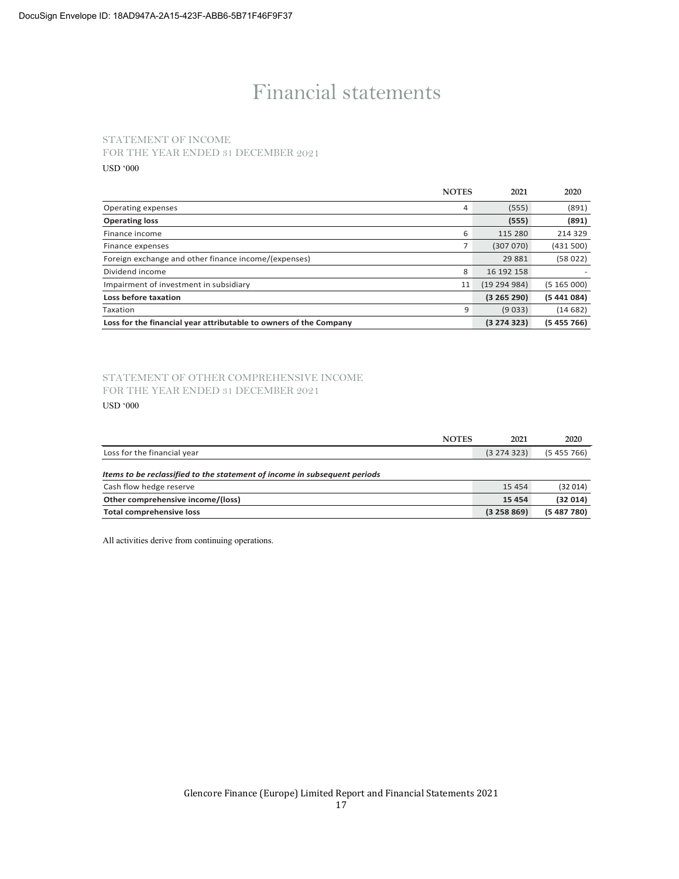## Financial statements

## STATEMENT OF INCOME FOR THE YEAR ENDED 31 DECEMBER 2021

USD '000

|                                                                   | <b>NOTES</b> | 2021         | 2020      |
|-------------------------------------------------------------------|--------------|--------------|-----------|
| Operating expenses                                                | 4            | (555)        | (891)     |
| <b>Operating loss</b>                                             |              | (555)        | (891)     |
| Finance income                                                    | 6            | 115 280      | 214 329   |
| Finance expenses                                                  |              | (30707)      | (431 500) |
| Foreign exchange and other finance income/(expenses)              |              | 29 8 8 1     | (58 022)  |
| Dividend income                                                   | 8            | 16 192 158   |           |
| Impairment of investment in subsidiary                            | 11           | (19 294 984) | (5165000) |
| Loss before taxation                                              |              | (3265290)    | (5441084) |
| Taxation                                                          | 9            | (9033)       | (14682)   |
| Loss for the financial year attributable to owners of the Company |              | (3274323)    | (5455766) |

## STATEMENT OF OTHER COMPREHENSIVE INCOME FOR THE YEAR ENDED 31 DECEMBER 2021

USD '000

|                                                                           | <b>NOTES</b> | 2021      | 2020      |
|---------------------------------------------------------------------------|--------------|-----------|-----------|
| Loss for the financial year                                               |              | (3274323) | (5455766) |
| Items to be reclassified to the statement of income in subsequent periods |              |           |           |
| Cash flow hedge reserve                                                   |              | 15 4 5 4  | (32014)   |
| Other comprehensive income/(loss)                                         |              | 15 4 54   | (32014)   |
| <b>Total comprehensive loss</b>                                           |              | (3258869) | (5487780) |

All activities derive from continuing operations.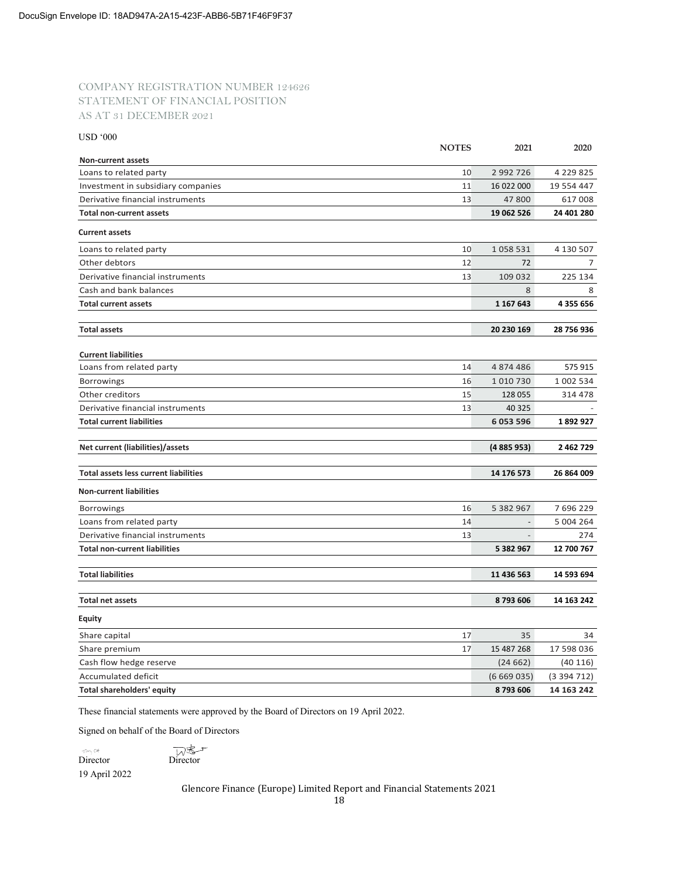## COMPANY REGISTRATION NUMBER 124626 STATEMENT OF FINANCIAL POSITION AS AT 31 DECEMBER 2021

| USD 000                                      |              |                          |               |
|----------------------------------------------|--------------|--------------------------|---------------|
|                                              | <b>NOTES</b> | 2021                     | 2020          |
| Non-current assets                           | 10           | 2 992 726                | 4 2 2 9 8 2 5 |
| Loans to related party                       | 11           |                          |               |
| Investment in subsidiary companies           | 13           | 16 022 000               | 19 554 447    |
| Derivative financial instruments             |              | 47 800                   | 617008        |
| <b>Total non-current assets</b>              |              | 19 062 526               | 24 401 280    |
| <b>Current assets</b>                        |              |                          |               |
| Loans to related party                       | 10           | 1058531                  | 4 130 507     |
| Other debtors                                | 12           | 72                       | 7             |
| Derivative financial instruments             | 13           | 109 032                  | 225 134       |
| Cash and bank balances                       |              | 8                        | 8             |
| <b>Total current assets</b>                  |              | 1 167 643                | 4 3 5 5 6 5 6 |
|                                              |              |                          |               |
| <b>Total assets</b>                          |              | 20 230 169               | 28 756 936    |
| <b>Current liabilities</b>                   |              |                          |               |
| Loans from related party                     | 14           | 4874486                  | 575 915       |
| <b>Borrowings</b>                            | 16           | 1010730                  | 1 002 534     |
| Other creditors                              | 15           | 128 055                  | 314 478       |
| Derivative financial instruments             | 13           | 40 3 25                  |               |
| <b>Total current liabilities</b>             |              | 6053596                  | 1892927       |
| Net current (liabilities)/assets             |              | (4885953)                | 2 462 729     |
|                                              |              |                          |               |
| <b>Total assets less current liabilities</b> |              | 14 176 573               | 26 864 009    |
| <b>Non-current liabilities</b>               |              |                          |               |
| <b>Borrowings</b>                            | 16           | 5 382 967                | 7696229       |
| Loans from related party                     | 14           |                          | 5 004 264     |
| Derivative financial instruments             | 13           | $\overline{\phantom{a}}$ | 274           |
| <b>Total non-current liabilities</b>         |              | 5 382 967                | 12 700 767    |
| <b>Total liabilities</b>                     |              | 11 436 563               | 14 593 694    |
|                                              |              |                          |               |
| <b>Total net assets</b>                      |              | 8793606                  | 14 163 242    |
| <b>Equity</b>                                |              |                          |               |
| Share capital                                | 17           | 35                       | 34            |
| Share premium                                | 17           | 15 487 268               | 17 598 036    |
| Cash flow hedge reserve                      |              | (24662)                  | (40116)       |
| Accumulated deficit                          |              | (6669035)                | (3394712)     |
| <b>Total shareholders' equity</b>            |              | 8793606                  | 14 163 242    |

These financial statements were approved by the Board of Directors on 19 April 2022.

Signed on behalf of the Board of Directors

 $\overrightarrow{D}$  Director Director

19 April 2022

 $\tau m$  sot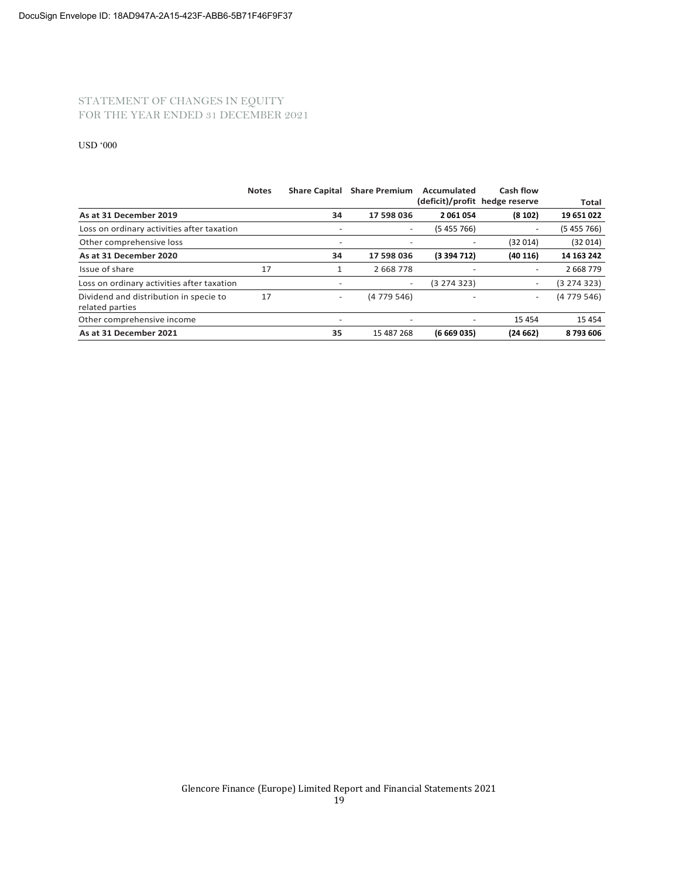## STATEMENT OF CHANGES IN EQUITY FOR THE YEAR ENDED 31 DECEMBER 2021

#### USD '000

|                                                           | <b>Notes</b> | <b>Share Capital</b>     | <b>Share Premium</b>     | Accumulated              | Cash flow                      |            |
|-----------------------------------------------------------|--------------|--------------------------|--------------------------|--------------------------|--------------------------------|------------|
|                                                           |              |                          |                          |                          | (deficit)/profit hedge reserve | Total      |
| As at 31 December 2019                                    |              | 34                       | 17 598 036               | 2061054                  | (8102)                         | 19 651 022 |
| Loss on ordinary activities after taxation                |              | ٠                        | $\overline{\phantom{a}}$ | (5455766)                |                                | (5455766)  |
| Other comprehensive loss                                  |              | $\overline{\phantom{0}}$ |                          |                          | (32014)                        | (32014)    |
| As at 31 December 2020                                    |              | 34                       | 17 598 036               | (3394712)                | (40116)                        | 14 163 242 |
| Issue of share                                            | 17           |                          | 2668778                  |                          | $\overline{\phantom{a}}$       | 2668779    |
| Loss on ordinary activities after taxation                |              | ۰                        | $\overline{\phantom{a}}$ | (3274323)                | $\overline{\phantom{a}}$       | (3274323)  |
| Dividend and distribution in specie to<br>related parties | 17           | ٠                        | (4779546)                |                          | $\overline{\phantom{a}}$       | (4779546)  |
| Other comprehensive income                                |              | ٠                        | $\overline{\phantom{a}}$ | $\overline{\phantom{a}}$ | 15 4 54                        | 15 4 54    |
| As at 31 December 2021                                    |              | 35                       | 15 487 268               | (6669035)                | (24662)                        | 8793606    |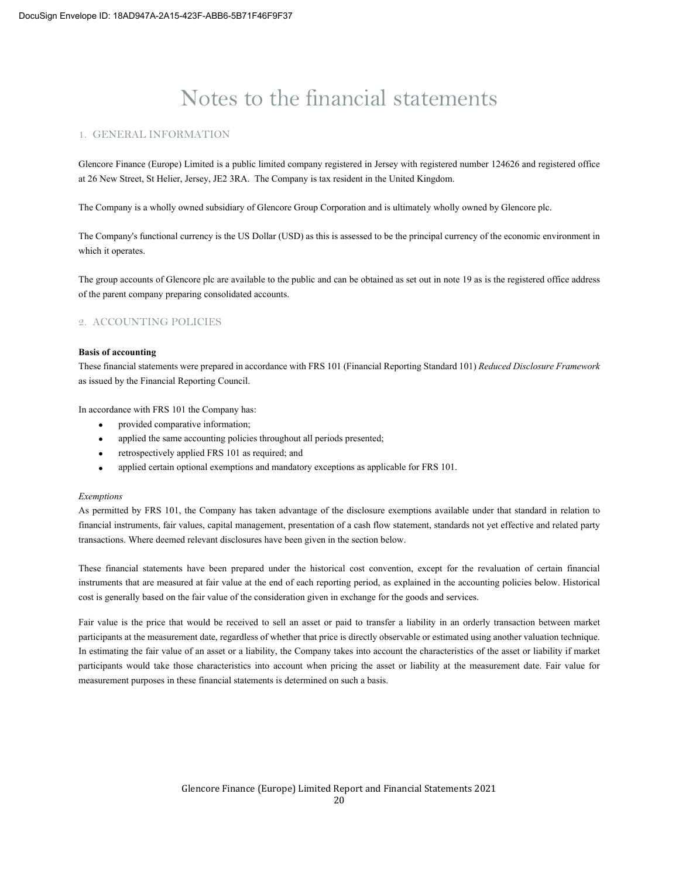## Notes to the financial statements

### 1. GENERAL INFORMATION

Glencore Finance (Europe) Limited is a public limited company registered in Jersey with registered number 124626 and registered office at 26 New Street, St Helier, Jersey, JE2 3RA. The Company is tax resident in the United Kingdom.

The Company is a wholly owned subsidiary of Glencore Group Corporation and is ultimately wholly owned by Glencore plc.

The Company's functional currency is the US Dollar (USD) as this is assessed to be the principal currency of the economic environment in which it operates.

The group accounts of Glencore plc are available to the public and can be obtained as set out in note 19 as is the registered office address of the parent company preparing consolidated accounts.

## 2. ACCOUNTING POLICIES

#### **Basis of accounting**

These financial statements were prepared in accordance with FRS 101 (Financial Reporting Standard 101) *Reduced Disclosure Framework*  as issued by the Financial Reporting Council.

In accordance with FRS 101 the Company has:

- provided comparative information;
- applied the same accounting policies throughout all periods presented;
- retrospectively applied FRS 101 as required; and
- applied certain optional exemptions and mandatory exceptions as applicable for FRS 101.

#### *Exemptions*

As permitted by FRS 101, the Company has taken advantage of the disclosure exemptions available under that standard in relation to financial instruments, fair values, capital management, presentation of a cash flow statement, standards not yet effective and related party transactions. Where deemed relevant disclosures have been given in the section below.

These financial statements have been prepared under the historical cost convention, except for the revaluation of certain financial instruments that are measured at fair value at the end of each reporting period, as explained in the accounting policies below. Historical cost is generally based on the fair value of the consideration given in exchange for the goods and services.

Fair value is the price that would be received to sell an asset or paid to transfer a liability in an orderly transaction between market participants at the measurement date, regardless of whether that price is directly observable or estimated using another valuation technique. In estimating the fair value of an asset or a liability, the Company takes into account the characteristics of the asset or liability if market participants would take those characteristics into account when pricing the asset or liability at the measurement date. Fair value for measurement purposes in these financial statements is determined on such a basis.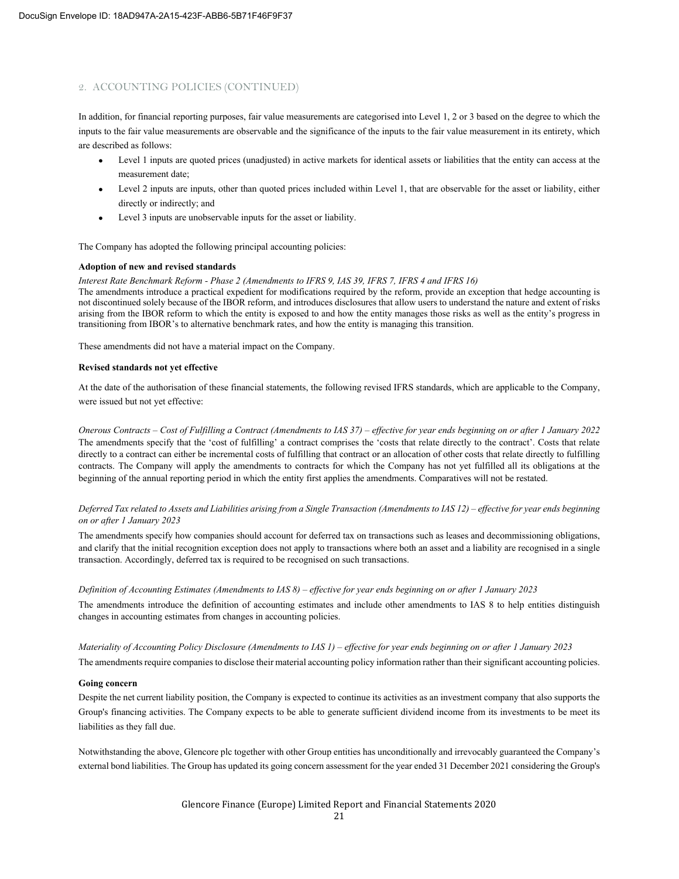In addition, for financial reporting purposes, fair value measurements are categorised into Level 1, 2 or 3 based on the degree to which the inputs to the fair value measurements are observable and the significance of the inputs to the fair value measurement in its entirety, which are described as follows:

- Level 1 inputs are quoted prices (unadjusted) in active markets for identical assets or liabilities that the entity can access at the measurement date;
- Level 2 inputs are inputs, other than quoted prices included within Level 1, that are observable for the asset or liability, either directly or indirectly; and
- Level 3 inputs are unobservable inputs for the asset or liability.

The Company has adopted the following principal accounting policies:

#### **Adoption of new and revised standards**

*Interest Rate Benchmark Reform - Phase 2 (Amendments to IFRS 9, IAS 39, IFRS 7, IFRS 4 and IFRS 16)* 

The amendments introduce a practical expedient for modifications required by the reform, provide an exception that hedge accounting is not discontinued solely because of the IBOR reform, and introduces disclosures that allow users to understand the nature and extent of risks arising from the IBOR reform to which the entity is exposed to and how the entity manages those risks as well as the entity's progress in transitioning from IBOR's to alternative benchmark rates, and how the entity is managing this transition.

These amendments did not have a material impact on the Company.

#### **Revised standards not yet effective**

At the date of the authorisation of these financial statements, the following revised IFRS standards, which are applicable to the Company, were issued but not yet effective:

*Onerous Contracts – Cost of Fulfilling a Contract (Amendments to IAS 37) – effective for year ends beginning on or after 1 January 2022*  The amendments specify that the 'cost of fulfilling' a contract comprises the 'costs that relate directly to the contract'. Costs that relate directly to a contract can either be incremental costs of fulfilling that contract or an allocation of other costs that relate directly to fulfilling contracts. The Company will apply the amendments to contracts for which the Company has not yet fulfilled all its obligations at the beginning of the annual reporting period in which the entity first applies the amendments. Comparatives will not be restated.

#### *Deferred Tax related to Assets and Liabilities arising from a Single Transaction (Amendments to IAS 12) – effective for year ends beginning on or after 1 January 2023*

The amendments specify how companies should account for deferred tax on transactions such as leases and decommissioning obligations, and clarify that the initial recognition exception does not apply to transactions where both an asset and a liability are recognised in a single transaction. Accordingly, deferred tax is required to be recognised on such transactions.

#### *Definition of Accounting Estimates (Amendments to IAS 8) – effective for year ends beginning on or after 1 January 2023*

The amendments introduce the definition of accounting estimates and include other amendments to IAS 8 to help entities distinguish changes in accounting estimates from changes in accounting policies.

*Materiality of Accounting Policy Disclosure (Amendments to IAS 1) – effective for year ends beginning on or after 1 January 2023*  The amendments require companies to disclose their material accounting policy information rather than their significant accounting policies.

#### **Going concern**

Despite the net current liability position, the Company is expected to continue its activities as an investment company that also supports the Group's financing activities. The Company expects to be able to generate sufficient dividend income from its investments to be meet its liabilities as they fall due.

Notwithstanding the above, Glencore plc together with other Group entities has unconditionally and irrevocably guaranteed the Company's external bond liabilities. The Group has updated its going concern assessment for the year ended 31 December 2021 considering the Group's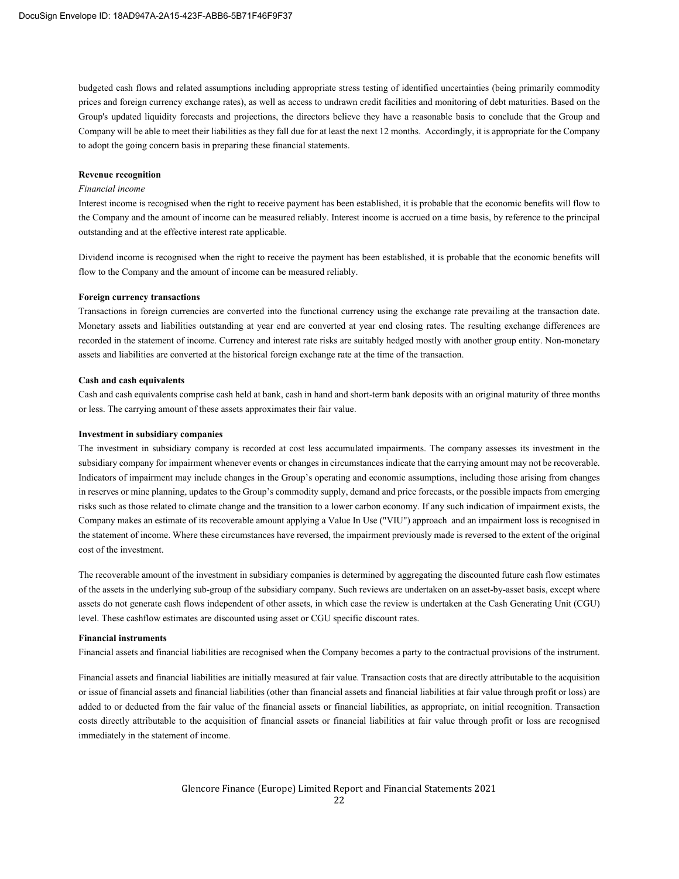budgeted cash flows and related assumptions including appropriate stress testing of identified uncertainties (being primarily commodity prices and foreign currency exchange rates), as well as access to undrawn credit facilities and monitoring of debt maturities. Based on the Group's updated liquidity forecasts and projections, the directors believe they have a reasonable basis to conclude that the Group and Company will be able to meet their liabilities as they fall due for at least the next 12 months. Accordingly, it is appropriate for the Company to adopt the going concern basis in preparing these financial statements.

#### **Revenue recognition**

#### *Financial income*

Interest income is recognised when the right to receive payment has been established, it is probable that the economic benefits will flow to the Company and the amount of income can be measured reliably. Interest income is accrued on a time basis, by reference to the principal outstanding and at the effective interest rate applicable.

Dividend income is recognised when the right to receive the payment has been established, it is probable that the economic benefits will flow to the Company and the amount of income can be measured reliably.

#### **Foreign currency transactions**

Transactions in foreign currencies are converted into the functional currency using the exchange rate prevailing at the transaction date. Monetary assets and liabilities outstanding at year end are converted at year end closing rates. The resulting exchange differences are recorded in the statement of income. Currency and interest rate risks are suitably hedged mostly with another group entity. Non-monetary assets and liabilities are converted at the historical foreign exchange rate at the time of the transaction.

#### **Cash and cash equivalents**

Cash and cash equivalents comprise cash held at bank, cash in hand and short-term bank deposits with an original maturity of three months or less. The carrying amount of these assets approximates their fair value.

#### **Investment in subsidiary companies**

The investment in subsidiary company is recorded at cost less accumulated impairments. The company assesses its investment in the subsidiary company for impairment whenever events or changes in circumstances indicate that the carrying amount may not be recoverable. Indicators of impairment may include changes in the Group's operating and economic assumptions, including those arising from changes in reserves or mine planning, updates to the Group's commodity supply, demand and price forecasts, or the possible impacts from emerging risks such as those related to climate change and the transition to a lower carbon economy. If any such indication of impairment exists, the Company makes an estimate of its recoverable amount applying a Value In Use ("VIU") approach and an impairment loss is recognised in the statement of income. Where these circumstances have reversed, the impairment previously made is reversed to the extent of the original cost of the investment.

The recoverable amount of the investment in subsidiary companies is determined by aggregating the discounted future cash flow estimates of the assets in the underlying sub-group of the subsidiary company. Such reviews are undertaken on an asset-by-asset basis, except where assets do not generate cash flows independent of other assets, in which case the review is undertaken at the Cash Generating Unit (CGU) level. These cashflow estimates are discounted using asset or CGU specific discount rates.

#### **Financial instruments**

Financial assets and financial liabilities are recognised when the Company becomes a party to the contractual provisions of the instrument.

Financial assets and financial liabilities are initially measured at fair value. Transaction costs that are directly attributable to the acquisition or issue of financial assets and financial liabilities (other than financial assets and financial liabilities at fair value through profit or loss) are added to or deducted from the fair value of the financial assets or financial liabilities, as appropriate, on initial recognition. Transaction costs directly attributable to the acquisition of financial assets or financial liabilities at fair value through profit or loss are recognised immediately in the statement of income.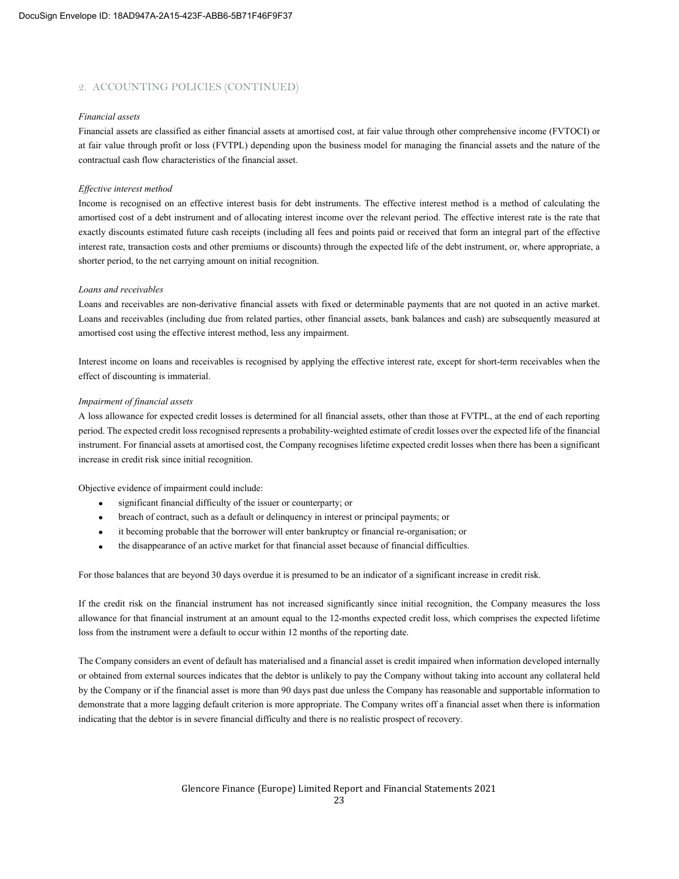#### *Financial assets*

Financial assets are classified as either financial assets at amortised cost, at fair value through other comprehensive income (FVTOCI) or at fair value through profit or loss (FVTPL) depending upon the business model for managing the financial assets and the nature of the contractual cash flow characteristics of the financial asset.

#### *Effective interest method*

Income is recognised on an effective interest basis for debt instruments. The effective interest method is a method of calculating the amortised cost of a debt instrument and of allocating interest income over the relevant period. The effective interest rate is the rate that exactly discounts estimated future cash receipts (including all fees and points paid or received that form an integral part of the effective interest rate, transaction costs and other premiums or discounts) through the expected life of the debt instrument, or, where appropriate, a shorter period, to the net carrying amount on initial recognition.

#### *Loans and receivables*

Loans and receivables are non-derivative financial assets with fixed or determinable payments that are not quoted in an active market. Loans and receivables (including due from related parties, other financial assets, bank balances and cash) are subsequently measured at amortised cost using the effective interest method, less any impairment.

Interest income on loans and receivables is recognised by applying the effective interest rate, except for short-term receivables when the effect of discounting is immaterial.

#### *Impairment of financial assets*

A loss allowance for expected credit losses is determined for all financial assets, other than those at FVTPL, at the end of each reporting period. The expected credit loss recognised represents a probability-weighted estimate of credit losses over the expected life of the financial instrument. For financial assets at amortised cost, the Company recognises lifetime expected credit losses when there has been a significant increase in credit risk since initial recognition.

Objective evidence of impairment could include:

- significant financial difficulty of the issuer or counterparty; or
- breach of contract, such as a default or delinquency in interest or principal payments; or
- it becoming probable that the borrower will enter bankruptcy or financial re-organisation; or
- the disappearance of an active market for that financial asset because of financial difficulties.

For those balances that are beyond 30 days overdue it is presumed to be an indicator of a significant increase in credit risk.

If the credit risk on the financial instrument has not increased significantly since initial recognition, the Company measures the loss allowance for that financial instrument at an amount equal to the 12-months expected credit loss, which comprises the expected lifetime loss from the instrument were a default to occur within 12 months of the reporting date.

The Company considers an event of default has materialised and a financial asset is credit impaired when information developed internally or obtained from external sources indicates that the debtor is unlikely to pay the Company without taking into account any collateral held by the Company or if the financial asset is more than 90 days past due unless the Company has reasonable and supportable information to demonstrate that a more lagging default criterion is more appropriate. The Company writes off a financial asset when there is information indicating that the debtor is in severe financial difficulty and there is no realistic prospect of recovery.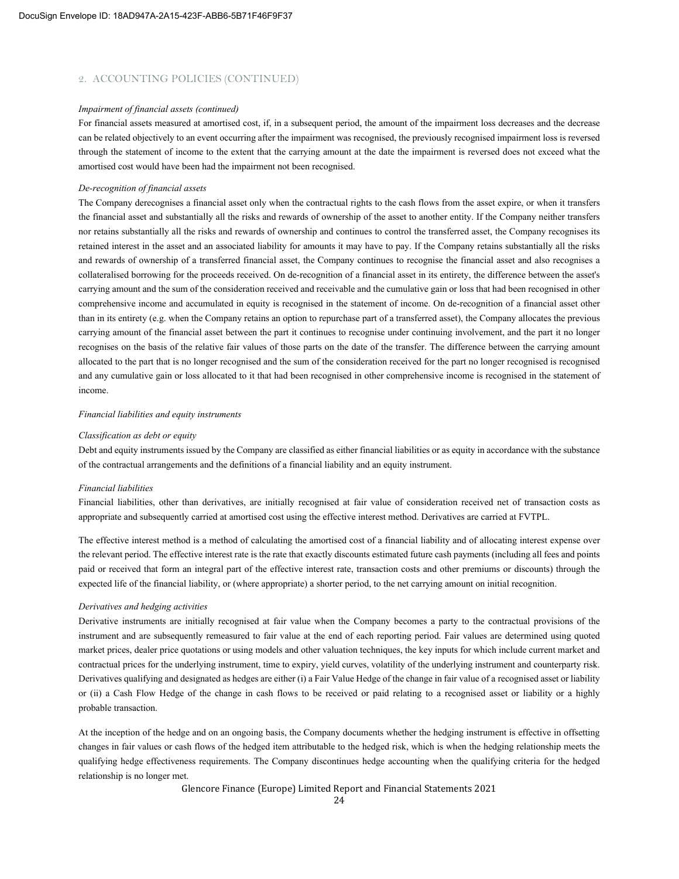#### *Impairment of financial assets (continued)*

For financial assets measured at amortised cost, if, in a subsequent period, the amount of the impairment loss decreases and the decrease can be related objectively to an event occurring after the impairment was recognised, the previously recognised impairment loss is reversed through the statement of income to the extent that the carrying amount at the date the impairment is reversed does not exceed what the amortised cost would have been had the impairment not been recognised.

#### *De-recognition of financial assets*

The Company derecognises a financial asset only when the contractual rights to the cash flows from the asset expire, or when it transfers the financial asset and substantially all the risks and rewards of ownership of the asset to another entity. If the Company neither transfers nor retains substantially all the risks and rewards of ownership and continues to control the transferred asset, the Company recognises its retained interest in the asset and an associated liability for amounts it may have to pay. If the Company retains substantially all the risks and rewards of ownership of a transferred financial asset, the Company continues to recognise the financial asset and also recognises a collateralised borrowing for the proceeds received. On de-recognition of a financial asset in its entirety, the difference between the asset's carrying amount and the sum of the consideration received and receivable and the cumulative gain or loss that had been recognised in other comprehensive income and accumulated in equity is recognised in the statement of income. On de-recognition of a financial asset other than in its entirety (e.g. when the Company retains an option to repurchase part of a transferred asset), the Company allocates the previous carrying amount of the financial asset between the part it continues to recognise under continuing involvement, and the part it no longer recognises on the basis of the relative fair values of those parts on the date of the transfer. The difference between the carrying amount allocated to the part that is no longer recognised and the sum of the consideration received for the part no longer recognised is recognised and any cumulative gain or loss allocated to it that had been recognised in other comprehensive income is recognised in the statement of income.

#### *Financial liabilities and equity instruments*

#### *Classification as debt or equity*

Debt and equity instruments issued by the Company are classified as either financial liabilities or as equity in accordance with the substance of the contractual arrangements and the definitions of a financial liability and an equity instrument.

#### *Financial liabilities*

Financial liabilities, other than derivatives, are initially recognised at fair value of consideration received net of transaction costs as appropriate and subsequently carried at amortised cost using the effective interest method. Derivatives are carried at FVTPL.

The effective interest method is a method of calculating the amortised cost of a financial liability and of allocating interest expense over the relevant period. The effective interest rate is the rate that exactly discounts estimated future cash payments (including all fees and points paid or received that form an integral part of the effective interest rate, transaction costs and other premiums or discounts) through the expected life of the financial liability, or (where appropriate) a shorter period, to the net carrying amount on initial recognition.

#### *Derivatives and hedging activities*

Derivative instruments are initially recognised at fair value when the Company becomes a party to the contractual provisions of the instrument and are subsequently remeasured to fair value at the end of each reporting period. Fair values are determined using quoted market prices, dealer price quotations or using models and other valuation techniques, the key inputs for which include current market and contractual prices for the underlying instrument, time to expiry, yield curves, volatility of the underlying instrument and counterparty risk. Derivatives qualifying and designated as hedges are either (i) a Fair Value Hedge of the change in fair value of a recognised asset or liability or (ii) a Cash Flow Hedge of the change in cash flows to be received or paid relating to a recognised asset or liability or a highly probable transaction.

At the inception of the hedge and on an ongoing basis, the Company documents whether the hedging instrument is effective in offsetting changes in fair values or cash flows of the hedged item attributable to the hedged risk, which is when the hedging relationship meets the qualifying hedge effectiveness requirements. The Company discontinues hedge accounting when the qualifying criteria for the hedged relationship is no longer met.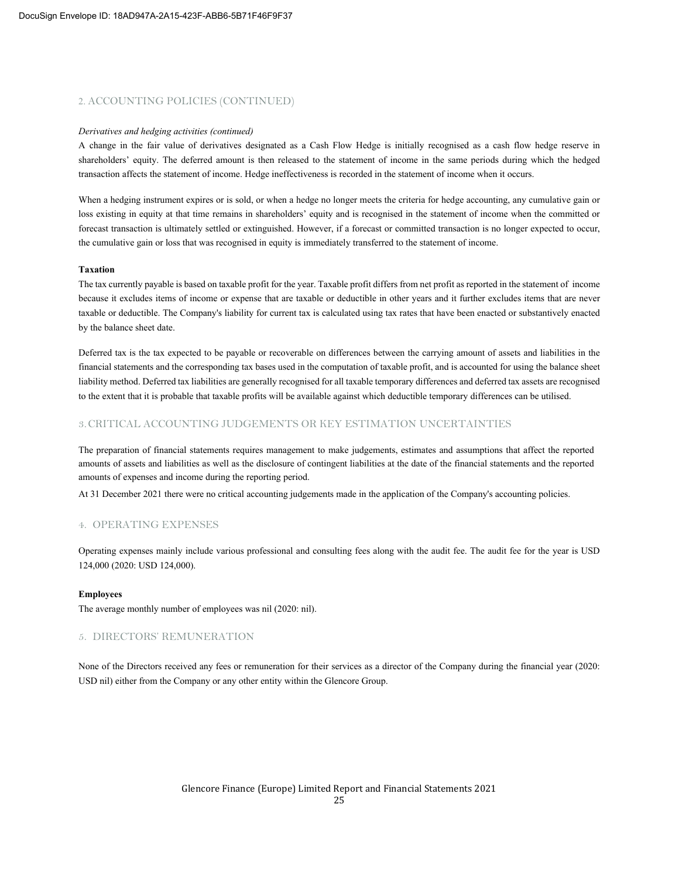#### *Derivatives and hedging activities (continued)*

A change in the fair value of derivatives designated as a Cash Flow Hedge is initially recognised as a cash flow hedge reserve in shareholders' equity. The deferred amount is then released to the statement of income in the same periods during which the hedged transaction affects the statement of income. Hedge ineffectiveness is recorded in the statement of income when it occurs.

When a hedging instrument expires or is sold, or when a hedge no longer meets the criteria for hedge accounting, any cumulative gain or loss existing in equity at that time remains in shareholders' equity and is recognised in the statement of income when the committed or forecast transaction is ultimately settled or extinguished. However, if a forecast or committed transaction is no longer expected to occur, the cumulative gain or loss that was recognised in equity is immediately transferred to the statement of income.

#### **Taxation**

The tax currently payable is based on taxable profit for the year. Taxable profit differs from net profit as reported in the statement of income because it excludes items of income or expense that are taxable or deductible in other years and it further excludes items that are never taxable or deductible. The Company's liability for current tax is calculated using tax rates that have been enacted or substantively enacted by the balance sheet date.

Deferred tax is the tax expected to be payable or recoverable on differences between the carrying amount of assets and liabilities in the financial statements and the corresponding tax bases used in the computation of taxable profit, and is accounted for using the balance sheet liability method. Deferred tax liabilities are generally recognised for all taxable temporary differences and deferred tax assets are recognised to the extent that it is probable that taxable profits will be available against which deductible temporary differences can be utilised.

#### 3.CRITICAL ACCOUNTING JUDGEMENTS OR KEY ESTIMATION UNCERTAINTIES

The preparation of financial statements requires management to make judgements, estimates and assumptions that affect the reported amounts of assets and liabilities as well as the disclosure of contingent liabilities at the date of the financial statements and the reported amounts of expenses and income during the reporting period.

At 31 December 2021 there were no critical accounting judgements made in the application of the Company's accounting policies.

#### 4. OPERATING EXPENSES

Operating expenses mainly include various professional and consulting fees along with the audit fee. The audit fee for the year is USD 124,000 (2020: USD 124,000).

#### **Employees**

The average monthly number of employees was nil (2020: nil).

## 5. DIRECTORS' REMUNERATION

None of the Directors received any fees or remuneration for their services as a director of the Company during the financial year (2020: USD nil) either from the Company or any other entity within the Glencore Group.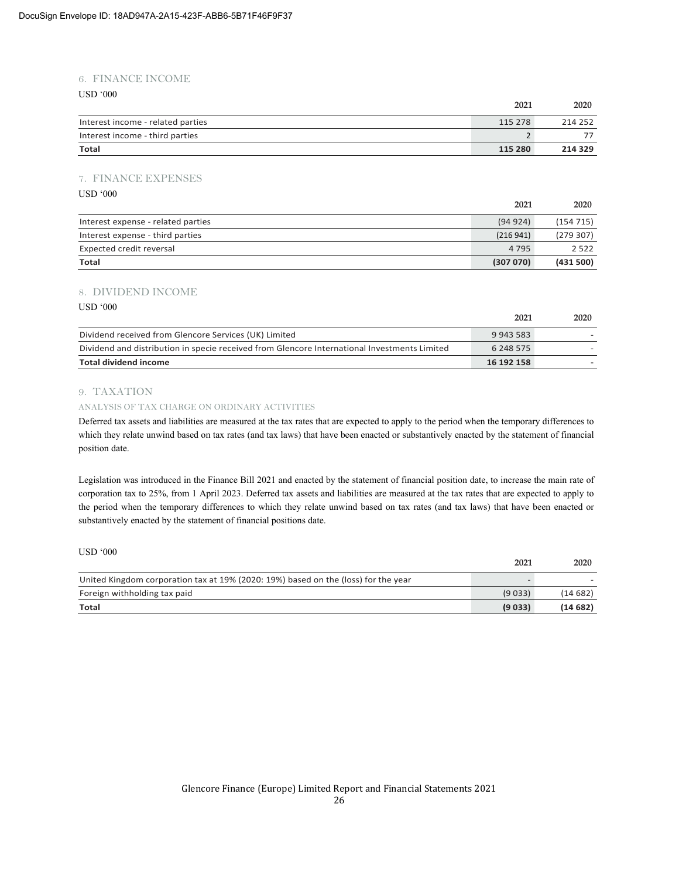#### 6. FINANCE INCOME

USD '000

|                                   | 2021    | 2020    |
|-----------------------------------|---------|---------|
| Interest income - related parties | 115 278 | 214 252 |
| Interest income - third parties   |         |         |
| Total                             | 115 280 | 214 329 |

## 7. FINANCE EXPENSES

USD '000

USD '000

|                                    | 2021      | 2020      |
|------------------------------------|-----------|-----------|
| Interest expense - related parties | (94924)   | (154715)  |
| Interest expense - third parties   | (216941)  | (279307)  |
| Expected credit reversal           | 4795      | 2 5 2 2   |
| Total                              | (307 070) | (431 500) |

## 8. DIVIDEND INCOME

| UUD UUU                                                                                      | 2021       | 2020 |
|----------------------------------------------------------------------------------------------|------------|------|
| Dividend received from Glencore Services (UK) Limited                                        | 9943583    |      |
| Dividend and distribution in specie received from Glencore International Investments Limited | 6 248 575  |      |
| Total dividend income                                                                        | 16 192 158 |      |

## 9. TAXATION

USD '000

#### ANALYSIS OF TAX CHARGE ON ORDINARY ACTIVITIES

Deferred tax assets and liabilities are measured at the tax rates that are expected to apply to the period when the temporary differences to which they relate unwind based on tax rates (and tax laws) that have been enacted or substantively enacted by the statement of financial position date.

Legislation was introduced in the Finance Bill 2021 and enacted by the statement of financial position date, to increase the main rate of corporation tax to 25%, from 1 April 2023. Deferred tax assets and liabilities are measured at the tax rates that are expected to apply to the period when the temporary differences to which they relate unwind based on tax rates (and tax laws) that have been enacted or substantively enacted by the statement of financial positions date.

|                                                                                    | 2021   | 2020    |
|------------------------------------------------------------------------------------|--------|---------|
| United Kingdom corporation tax at 19% (2020: 19%) based on the (loss) for the year |        |         |
| Foreign withholding tax paid                                                       | (9033) | (14682) |
| Total                                                                              | (9033) | (14682) |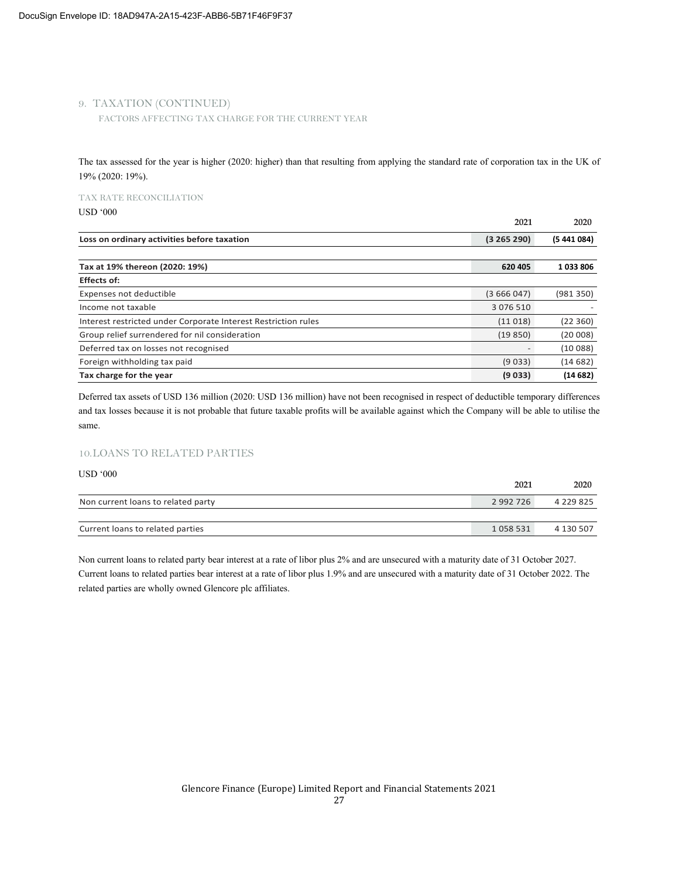## 9. TAXATION (CONTINUED)

FACTORS AFFECTING TAX CHARGE FOR THE CURRENT YEAR

The tax assessed for the year is higher (2020: higher) than that resulting from applying the standard rate of corporation tax in the UK of 19% (2020: 19%).

## TAX RATE RECONCILIATION

USD '000

|                                                                | 2021          | 2020      |
|----------------------------------------------------------------|---------------|-----------|
| Loss on ordinary activities before taxation                    | (3265290)     | (5441084) |
|                                                                |               |           |
| Tax at 19% thereon (2020: 19%)                                 | 620 405       | 1033806   |
| <b>Effects of:</b>                                             |               |           |
| Expenses not deductible                                        | (3666047)     | (981350)  |
| Income not taxable                                             | 3 0 7 6 5 1 0 |           |
| Interest restricted under Corporate Interest Restriction rules | (11018)       | (22360)   |
| Group relief surrendered for nil consideration                 | (19850)       | (20 008)  |
| Deferred tax on losses not recognised                          |               | (10088)   |
| Foreign withholding tax paid                                   | (9033)        | (14 682)  |
| Tax charge for the year                                        | (9033)        | (14682)   |

Deferred tax assets of USD 136 million (2020: USD 136 million) have not been recognised in respect of deductible temporary differences and tax losses because it is not probable that future taxable profits will be available against which the Company will be able to utilise the same.

## 10.LOANS TO RELATED PARTIES

| USD'000                            |           |               |
|------------------------------------|-----------|---------------|
|                                    | 2021      | 2020          |
| Non current loans to related party | 2 992 726 | 4 2 2 9 8 2 5 |
|                                    |           |               |
| Current loans to related parties   | 1058531   | 4 130 507     |

Non current loans to related party bear interest at a rate of libor plus 2% and are unsecured with a maturity date of 31 October 2027. Current loans to related parties bear interest at a rate of libor plus 1.9% and are unsecured with a maturity date of 31 October 2022. The related parties are wholly owned Glencore plc affiliates.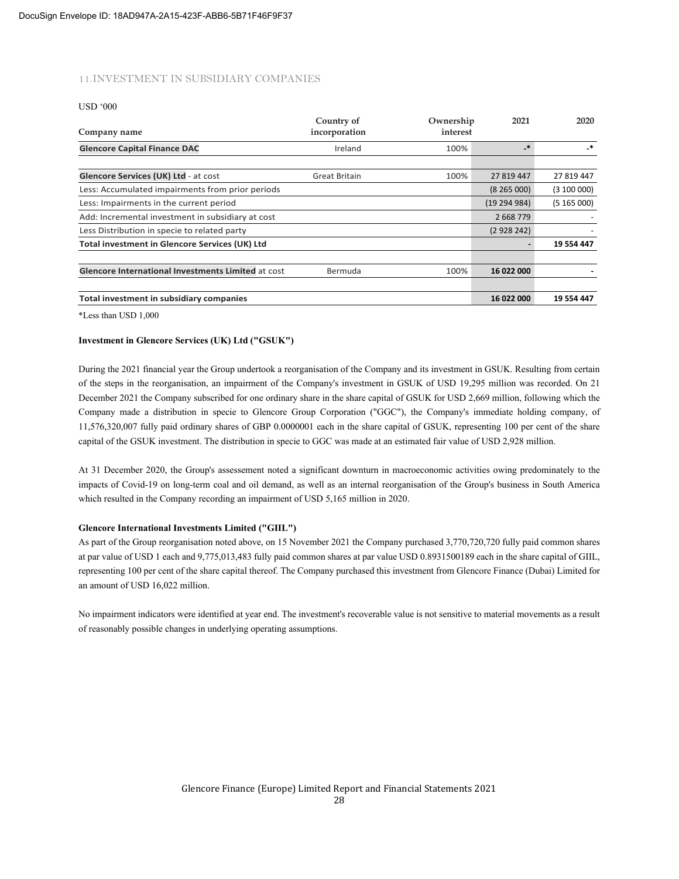## 11.INVESTMENT IN SUBSIDIARY COMPANIES

#### USD '000

| Company name                                              | Country of<br>incorporation | Ownership<br>interest | 2021         | 2020        |
|-----------------------------------------------------------|-----------------------------|-----------------------|--------------|-------------|
| <b>Glencore Capital Finance DAC</b>                       | Ireland                     | 100%                  | $\cdot^*$    | $\cdot$     |
|                                                           |                             |                       |              |             |
| Glencore Services (UK) Ltd - at cost                      | Great Britain               | 100%                  | 27 819 447   | 27 819 447  |
| Less: Accumulated impairments from prior periods          |                             |                       | (8265000)    | (3 100 000) |
| Less: Impairments in the current period                   |                             |                       | (19 294 984) | (5165000)   |
| Add: Incremental investment in subsidiary at cost         |                             |                       | 2668779      |             |
| Less Distribution in specie to related party              |                             |                       | (2928242)    |             |
| Total investment in Glencore Services (UK) Ltd            |                             |                       |              | 19 554 447  |
|                                                           |                             |                       |              |             |
| <b>Glencore International Investments Limited at cost</b> | Bermuda                     | 100%                  | 16 022 000   |             |
|                                                           |                             |                       |              |             |
| Total investment in subsidiary companies                  |                             |                       | 16 022 000   | 19 554 447  |

\*Less than USD 1,000

### **Investment in Glencore Services (UK) Ltd ("GSUK")**

During the 2021 financial year the Group undertook a reorganisation of the Company and its investment in GSUK. Resulting from certain of the steps in the reorganisation, an impairment of the Company's investment in GSUK of USD 19,295 million was recorded. On 21 December 2021 the Company subscribed for one ordinary share in the share capital of GSUK for USD 2,669 million, following which the Company made a distribution in specie to Glencore Group Corporation ("GGC"), the Company's immediate holding company, of 11,576,320,007 fully paid ordinary shares of GBP 0.0000001 each in the share capital of GSUK, representing 100 per cent of the share capital of the GSUK investment. The distribution in specie to GGC was made at an estimated fair value of USD 2,928 million.

At 31 December 2020, the Group's assessement noted a significant downturn in macroeconomic activities owing predominately to the impacts of Covid-19 on long-term coal and oil demand, as well as an internal reorganisation of the Group's business in South America which resulted in the Company recording an impairment of USD 5,165 million in 2020.

#### **Glencore International Investments Limited ("GIIL")**

As part of the Group reorganisation noted above, on 15 November 2021 the Company purchased 3,770,720,720 fully paid common shares at par value of USD 1 each and 9,775,013,483 fully paid common shares at par value USD 0.8931500189 each in the share capital of GIIL, representing 100 per cent of the share capital thereof. The Company purchased this investment from Glencore Finance (Dubai) Limited for an amount of USD 16,022 million.

No impairment indicators were identified at year end. The investment's recoverable value is not sensitive to material movements as a result of reasonably possible changes in underlying operating assumptions.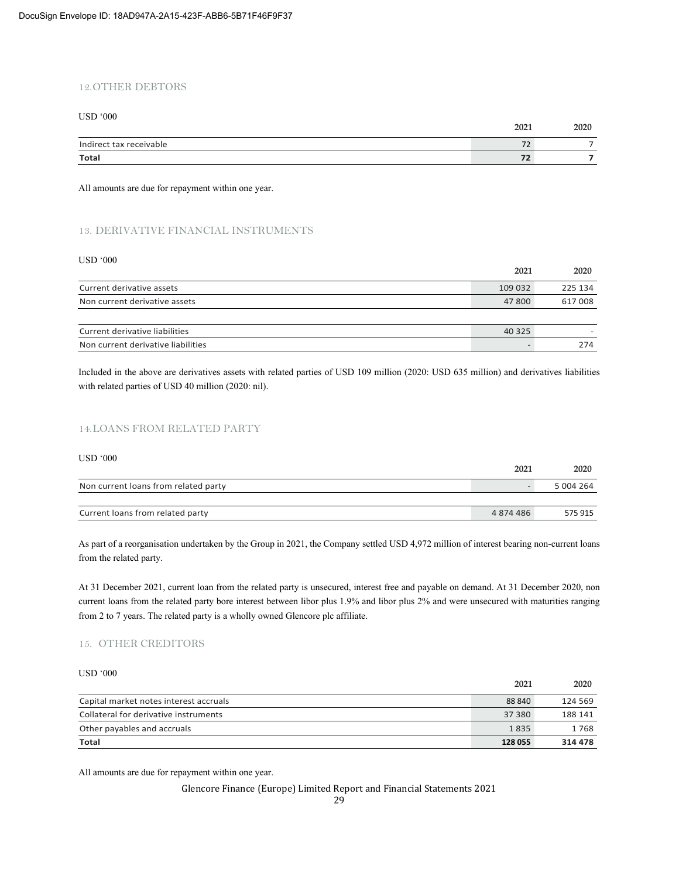## 12.OTHER DEBTORS

### USD '000

|                         | 2021                            | 2020 |
|-------------------------|---------------------------------|------|
| Indirect tax receivable | --<br>. .                       |      |
| Total                   | $\rightarrow$<br>$\prime\prime$ |      |

All amounts are due for repayment within one year.

## 13. DERIVATIVE FINANCIAL INSTRUMENTS

#### USD '000

|                                    | 2021    | 2020    |
|------------------------------------|---------|---------|
| Current derivative assets          | 109 032 | 225 134 |
| Non current derivative assets      | 47 800  | 617008  |
|                                    |         |         |
| Current derivative liabilities     | 40 3 25 |         |
| Non current derivative liabilities |         | 274     |

Included in the above are derivatives assets with related parties of USD 109 million (2020: USD 635 million) and derivatives liabilities with related parties of USD 40 million (2020: nil).

## 14.LOANS FROM RELATED PARTY

| USD'000                              | 2021    | 2020      |
|--------------------------------------|---------|-----------|
| Non current loans from related party |         | 5 004 264 |
|                                      |         |           |
| Current loans from related party     | 4874486 | 575915    |
|                                      |         |           |

As part of a reorganisation undertaken by the Group in 2021, the Company settled USD 4,972 million of interest bearing non-current loans from the related party.

At 31 December 2021, current loan from the related party is unsecured, interest free and payable on demand. At 31 December 2020, non current loans from the related party bore interest between libor plus 1.9% and libor plus 2% and were unsecured with maturities ranging from 2 to 7 years. The related party is a wholly owned Glencore plc affiliate.

## 15. OTHER CREDITORS

#### USD '000

|                                        | 2021    | 2020    |
|----------------------------------------|---------|---------|
| Capital market notes interest accruals | 88 840  | 124 569 |
| Collateral for derivative instruments  | 37 380  | 188 141 |
| Other payables and accruals            | 1835    | 1768    |
| Total                                  | 128 055 | 314 478 |

All amounts are due for repayment within one year.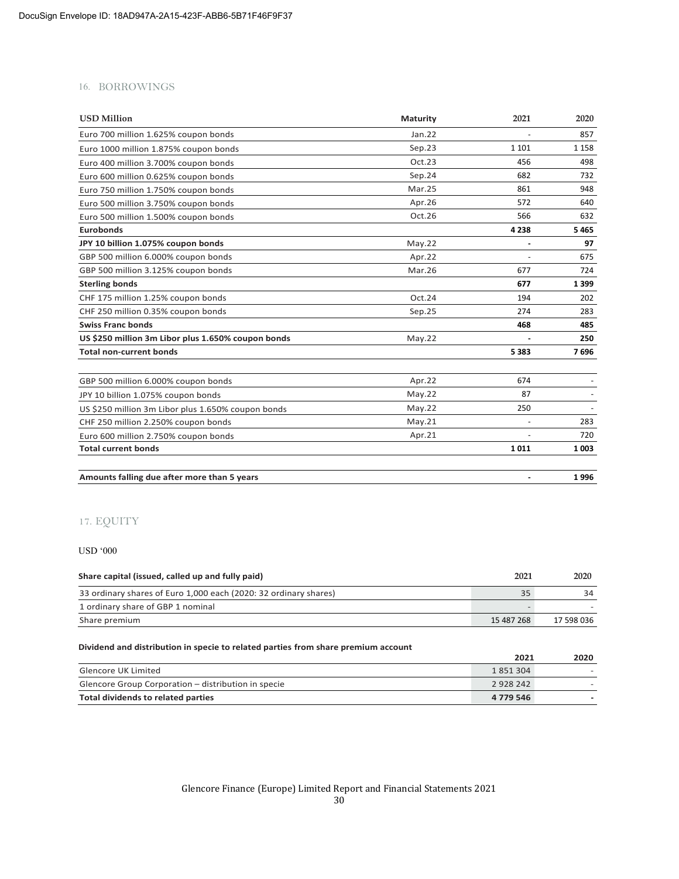## 16. BORROWINGS

| <b>USD Million</b>                                 | <b>Maturity</b> | 2021                         | 2020    |
|----------------------------------------------------|-----------------|------------------------------|---------|
| Euro 700 million 1.625% coupon bonds               | Jan.22          |                              | 857     |
| Euro 1000 million 1.875% coupon bonds              | Sep.23          | 1 1 0 1                      | 1 1 5 8 |
| Euro 400 million 3.700% coupon bonds               | Oct.23          | 456                          | 498     |
| Euro 600 million 0.625% coupon bonds               | Sep.24          | 682                          | 732     |
| Euro 750 million 1.750% coupon bonds               | Mar.25          | 861                          | 948     |
| Euro 500 million 3.750% coupon bonds               | Apr.26          | 572                          | 640     |
| Euro 500 million 1.500% coupon bonds               | Oct.26          | 566                          | 632     |
| <b>Eurobonds</b>                                   |                 | 4 2 3 8                      | 5465    |
| JPY 10 billion 1.075% coupon bonds                 | May.22          |                              | 97      |
| GBP 500 million 6.000% coupon bonds                | Apr.22          |                              | 675     |
| GBP 500 million 3.125% coupon bonds                | <b>Mar.26</b>   | 677                          | 724     |
| <b>Sterling bonds</b>                              |                 | 677                          | 1 3 9 9 |
| CHF 175 million 1.25% coupon bonds                 | Oct.24          | 194                          | 202     |
| CHF 250 million 0.35% coupon bonds                 | Sep.25          | 274                          | 283     |
| <b>Swiss Franc bonds</b>                           |                 | 468                          | 485     |
| US \$250 million 3m Libor plus 1.650% coupon bonds | May.22          |                              | 250     |
| <b>Total non-current bonds</b>                     |                 | 5383                         | 7696    |
|                                                    |                 |                              |         |
| GBP 500 million 6.000% coupon bonds                | Apr.22          | 674                          |         |
| JPY 10 billion 1.075% coupon bonds                 | May.22          | 87                           |         |
| US \$250 million 3m Libor plus 1.650% coupon bonds | May.22          | 250                          |         |
| CHF 250 million 2.250% coupon bonds                | May.21          |                              | 283     |
| Euro 600 million 2.750% coupon bonds               | Apr.21          |                              | 720     |
| <b>Total current bonds</b>                         |                 | 1011                         | 1 0 0 3 |
| Amounts falling due after more than 5 years        |                 | $\qquad \qquad \blacksquare$ | 1996    |

## 17. EQUITY

#### USD '000

| Share capital (issued, called up and fully paid)                 | 2021       | 2020       |
|------------------------------------------------------------------|------------|------------|
| 33 ordinary shares of Euro 1,000 each (2020: 32 ordinary shares) | 35         | 34         |
| 1 ordinary share of GBP 1 nominal                                |            |            |
| Share premium                                                    | 15 487 268 | 17 598 036 |

Dividend and distribution in specie to related parties from share premium account

|                                                     | 2021          | 2020 |
|-----------------------------------------------------|---------------|------|
| Glencore UK Limited                                 | 1851304       |      |
| Glencore Group Corporation – distribution in specie | 2928242       |      |
| Total dividends to related parties                  | 4 7 7 9 5 4 6 |      |